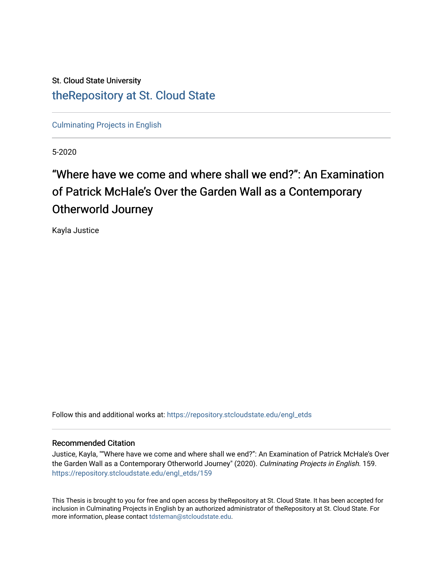## St. Cloud State University [theRepository at St. Cloud State](https://repository.stcloudstate.edu/)

[Culminating Projects in English](https://repository.stcloudstate.edu/engl_etds) 

5-2020

# "Where have we come and where shall we end?": An Examination of Patrick McHale's Over the Garden Wall as a Contemporary Otherworld Journey

Kayla Justice

Follow this and additional works at: [https://repository.stcloudstate.edu/engl\\_etds](https://repository.stcloudstate.edu/engl_etds?utm_source=repository.stcloudstate.edu%2Fengl_etds%2F159&utm_medium=PDF&utm_campaign=PDFCoverPages)

### Recommended Citation

Justice, Kayla, ""Where have we come and where shall we end?": An Examination of Patrick McHale's Over the Garden Wall as a Contemporary Otherworld Journey" (2020). Culminating Projects in English. 159. [https://repository.stcloudstate.edu/engl\\_etds/159](https://repository.stcloudstate.edu/engl_etds/159?utm_source=repository.stcloudstate.edu%2Fengl_etds%2F159&utm_medium=PDF&utm_campaign=PDFCoverPages)

This Thesis is brought to you for free and open access by theRepository at St. Cloud State. It has been accepted for inclusion in Culminating Projects in English by an authorized administrator of theRepository at St. Cloud State. For more information, please contact [tdsteman@stcloudstate.edu.](mailto:tdsteman@stcloudstate.edu)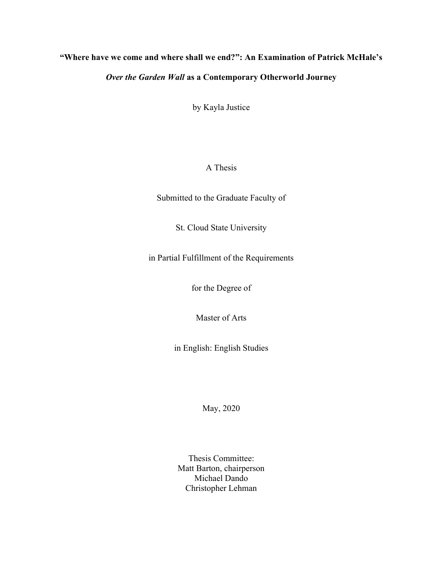### "Where have we come and where shall we end?": An Examination of Patrick McHale's

### Over the Garden Wall as a Contemporary Otherworld Journey

by Kayla Justice

### A Thesis

Submitted to the Graduate Faculty of

St. Cloud State University

in Partial Fulfillment of the Requirements

for the Degree of

Master of Arts

in English: English Studies

May, 2020

Thesis Committee: Matt Barton, chairperson Michael Dando Christopher Lehman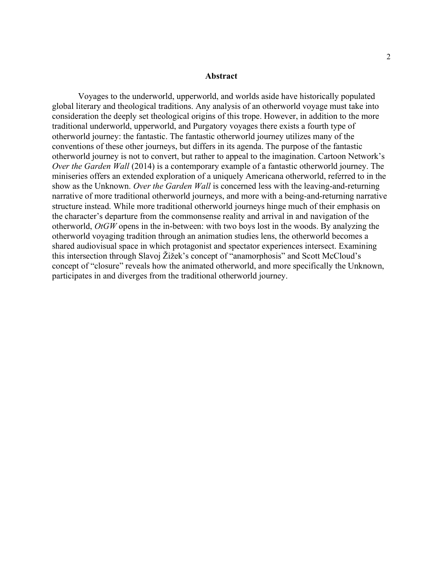#### Abstract

Voyages to the underworld, upperworld, and worlds aside have historically populated global literary and theological traditions. Any analysis of an otherworld voyage must take into consideration the deeply set theological origins of this trope. However, in addition to the more traditional underworld, upperworld, and Purgatory voyages there exists a fourth type of otherworld journey: the fantastic. The fantastic otherworld journey utilizes many of the conventions of these other journeys, but differs in its agenda. The purpose of the fantastic otherworld journey is not to convert, but rather to appeal to the imagination. Cartoon Network's Over the Garden Wall (2014) is a contemporary example of a fantastic otherworld journey. The miniseries offers an extended exploration of a uniquely Americana otherworld, referred to in the show as the Unknown. Over the Garden Wall is concerned less with the leaving-and-returning narrative of more traditional otherworld journeys, and more with a being-and-returning narrative structure instead. While more traditional otherworld journeys hinge much of their emphasis on the character's departure from the commonsense reality and arrival in and navigation of the otherworld, OtGW opens in the in-between: with two boys lost in the woods. By analyzing the otherworld voyaging tradition through an animation studies lens, the otherworld becomes a shared audiovisual space in which protagonist and spectator experiences intersect. Examining this intersection through Slavoj Žižek's concept of "anamorphosis" and Scott McCloud's concept of "closure" reveals how the animated otherworld, and more specifically the Unknown, participates in and diverges from the traditional otherworld journey.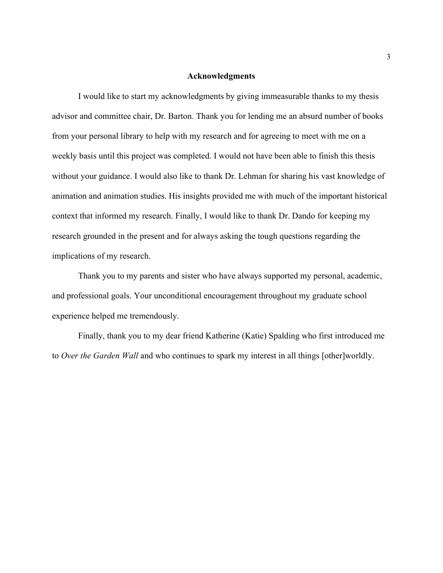### Acknowledgments

I would like to start my acknowledgments by giving immeasurable thanks to my thesis advisor and committee chair, Dr. Barton. Thank you for lending me an absurd number of books from your personal library to help with my research and for agreeing to meet with me on a weekly basis until this project was completed. I would not have been able to finish this thesis without your guidance. I would also like to thank Dr. Lehman for sharing his vast knowledge of animation and animation studies. His insights provided me with much of the important historical context that informed my research. Finally, I would like to thank Dr. Dando for keeping my research grounded in the present and for always asking the tough questions regarding the implications of my research.

Thank you to my parents and sister who have always supported my personal, academic, and professional goals. Your unconditional encouragement throughout my graduate school experience helped me tremendously.

Finally, thank you to my dear friend Katherine (Katie) Spalding who first introduced me to Over the Garden Wall and who continues to spark my interest in all things [other]worldly.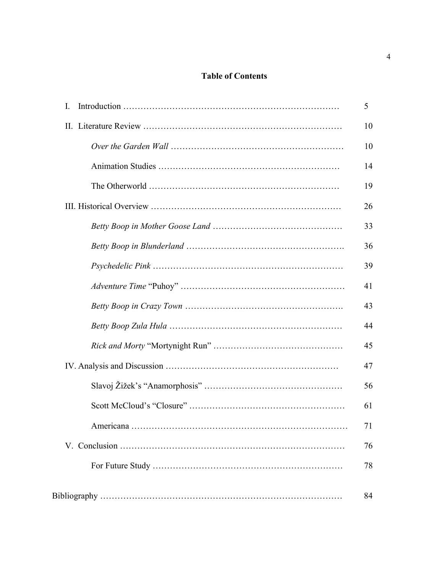### Table of Contents

| Ι. | 5  |
|----|----|
|    | 10 |
|    | 10 |
|    | 14 |
|    | 19 |
|    | 26 |
|    | 33 |
|    | 36 |
|    | 39 |
|    | 41 |
|    | 43 |
|    | 44 |
|    | 45 |
|    | 47 |
|    | 56 |
|    | 61 |
|    | 71 |
|    | 76 |
|    | 78 |
|    | 84 |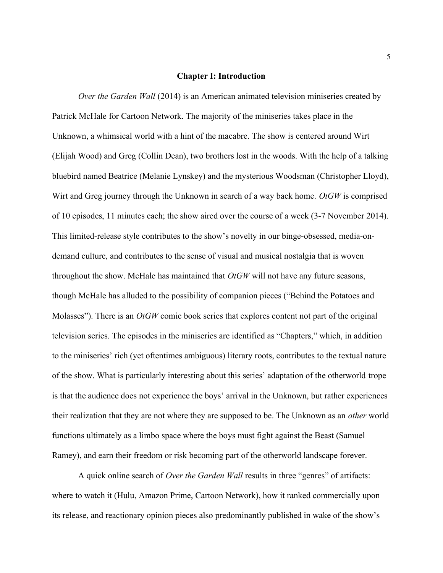#### Chapter I: Introduction

Over the Garden Wall (2014) is an American animated television miniseries created by Patrick McHale for Cartoon Network. The majority of the miniseries takes place in the Unknown, a whimsical world with a hint of the macabre. The show is centered around Wirt (Elijah Wood) and Greg (Collin Dean), two brothers lost in the woods. With the help of a talking bluebird named Beatrice (Melanie Lynskey) and the mysterious Woodsman (Christopher Lloyd), Wirt and Greg journey through the Unknown in search of a way back home.  $OrGW$  is comprised of 10 episodes, 11 minutes each; the show aired over the course of a week (3-7 November 2014). This limited-release style contributes to the show's novelty in our binge-obsessed, media-ondemand culture, and contributes to the sense of visual and musical nostalgia that is woven throughout the show. McHale has maintained that  $OtGW$  will not have any future seasons, though McHale has alluded to the possibility of companion pieces ("Behind the Potatoes and Molasses"). There is an  $OtGW$  comic book series that explores content not part of the original television series. The episodes in the miniseries are identified as "Chapters," which, in addition to the miniseries' rich (yet oftentimes ambiguous) literary roots, contributes to the textual nature of the show. What is particularly interesting about this series' adaptation of the otherworld trope is that the audience does not experience the boys' arrival in the Unknown, but rather experiences their realization that they are not where they are supposed to be. The Unknown as an *other* world functions ultimately as a limbo space where the boys must fight against the Beast (Samuel Ramey), and earn their freedom or risk becoming part of the otherworld landscape forever.

A quick online search of *Over the Garden Wall* results in three "genres" of artifacts: where to watch it (Hulu, Amazon Prime, Cartoon Network), how it ranked commercially upon its release, and reactionary opinion pieces also predominantly published in wake of the show's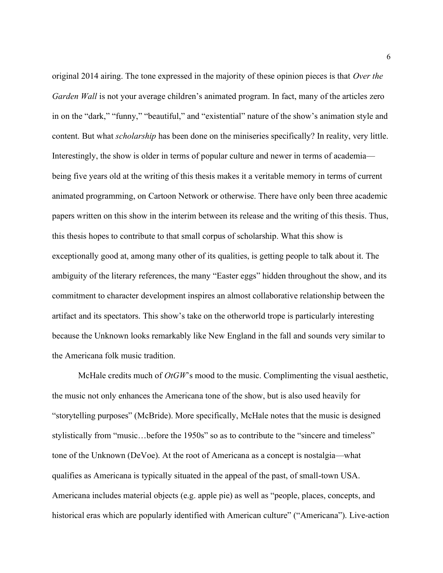original 2014 airing. The tone expressed in the majority of these opinion pieces is that Over the Garden Wall is not your average children's animated program. In fact, many of the articles zero in on the "dark," "funny," "beautiful," and "existential" nature of the show's animation style and content. But what *scholarship* has been done on the miniseries specifically? In reality, very little. Interestingly, the show is older in terms of popular culture and newer in terms of academia being five years old at the writing of this thesis makes it a veritable memory in terms of current animated programming, on Cartoon Network or otherwise. There have only been three academic papers written on this show in the interim between its release and the writing of this thesis. Thus, this thesis hopes to contribute to that small corpus of scholarship. What this show is exceptionally good at, among many other of its qualities, is getting people to talk about it. The ambiguity of the literary references, the many "Easter eggs" hidden throughout the show, and its commitment to character development inspires an almost collaborative relationship between the artifact and its spectators. This show's take on the otherworld trope is particularly interesting because the Unknown looks remarkably like New England in the fall and sounds very similar to the Americana folk music tradition.

McHale credits much of  $OtGW$ 's mood to the music. Complimenting the visual aesthetic, the music not only enhances the Americana tone of the show, but is also used heavily for "storytelling purposes" (McBride). More specifically, McHale notes that the music is designed stylistically from "music…before the 1950s" so as to contribute to the "sincere and timeless" tone of the Unknown (DeVoe). At the root of Americana as a concept is nostalgia—what qualifies as Americana is typically situated in the appeal of the past, of small-town USA. Americana includes material objects (e.g. apple pie) as well as "people, places, concepts, and historical eras which are popularly identified with American culture" ("Americana"). Live-action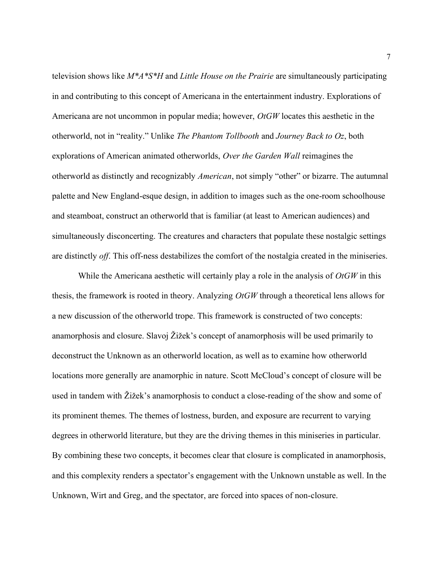television shows like  $M^*A^*S^*H$  and Little House on the Prairie are simultaneously participating in and contributing to this concept of Americana in the entertainment industry. Explorations of Americana are not uncommon in popular media; however,  $OtGW$  locates this aesthetic in the otherworld, not in "reality." Unlike The Phantom Tollbooth and Journey Back to Oz, both explorations of American animated otherworlds, Over the Garden Wall reimagines the otherworld as distinctly and recognizably American, not simply "other" or bizarre. The autumnal palette and New England-esque design, in addition to images such as the one-room schoolhouse and steamboat, construct an otherworld that is familiar (at least to American audiences) and simultaneously disconcerting. The creatures and characters that populate these nostalgic settings are distinctly off. This off-ness destabilizes the comfort of the nostalgia created in the miniseries.

While the Americana aesthetic will certainly play a role in the analysis of  $OtGW$  in this thesis, the framework is rooted in theory. Analyzing *OtGW* through a theoretical lens allows for a new discussion of the otherworld trope. This framework is constructed of two concepts: anamorphosis and closure. Slavoj Žižek's concept of anamorphosis will be used primarily to deconstruct the Unknown as an otherworld location, as well as to examine how otherworld locations more generally are anamorphic in nature. Scott McCloud's concept of closure will be used in tandem with Žižek's anamorphosis to conduct a close-reading of the show and some of its prominent themes. The themes of lostness, burden, and exposure are recurrent to varying degrees in otherworld literature, but they are the driving themes in this miniseries in particular. By combining these two concepts, it becomes clear that closure is complicated in anamorphosis, and this complexity renders a spectator's engagement with the Unknown unstable as well. In the Unknown, Wirt and Greg, and the spectator, are forced into spaces of non-closure.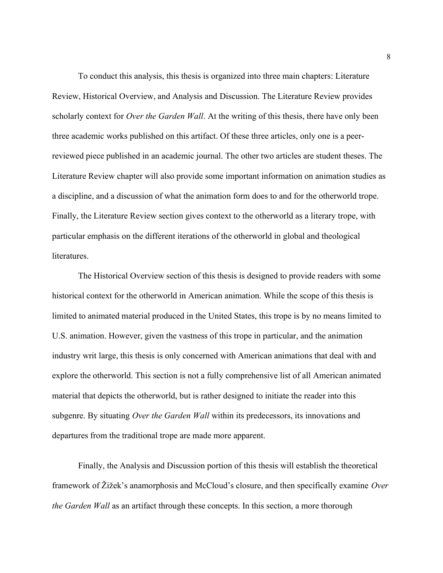To conduct this analysis, this thesis is organized into three main chapters: Literature Review, Historical Overview, and Analysis and Discussion. The Literature Review provides scholarly context for *Over the Garden Wall*. At the writing of this thesis, there have only been three academic works published on this artifact. Of these three articles, only one is a peerreviewed piece published in an academic journal. The other two articles are student theses. The Literature Review chapter will also provide some important information on animation studies as a discipline, and a discussion of what the animation form does to and for the otherworld trope. Finally, the Literature Review section gives context to the otherworld as a literary trope, with particular emphasis on the different iterations of the otherworld in global and theological literatures.

The Historical Overview section of this thesis is designed to provide readers with some historical context for the otherworld in American animation. While the scope of this thesis is limited to animated material produced in the United States, this trope is by no means limited to U.S. animation. However, given the vastness of this trope in particular, and the animation industry writ large, this thesis is only concerned with American animations that deal with and explore the otherworld. This section is not a fully comprehensive list of all American animated material that depicts the otherworld, but is rather designed to initiate the reader into this subgenre. By situating Over the Garden Wall within its predecessors, its innovations and departures from the traditional trope are made more apparent.

Finally, the Analysis and Discussion portion of this thesis will establish the theoretical framework of  $\check{Z}$ ižek's anamorphosis and McCloud's closure, and then specifically examine Over the Garden Wall as an artifact through these concepts. In this section, a more thorough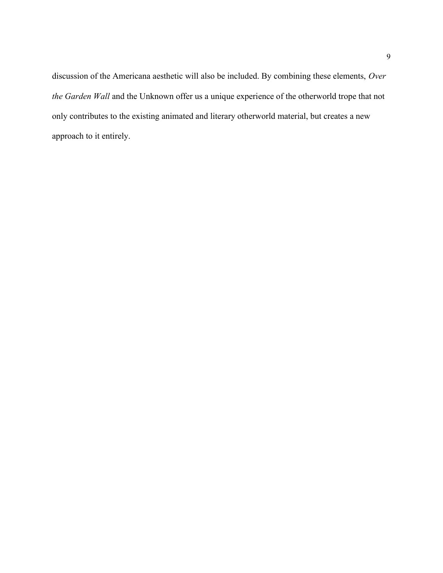discussion of the Americana aesthetic will also be included. By combining these elements, Over the Garden Wall and the Unknown offer us a unique experience of the otherworld trope that not only contributes to the existing animated and literary otherworld material, but creates a new approach to it entirely.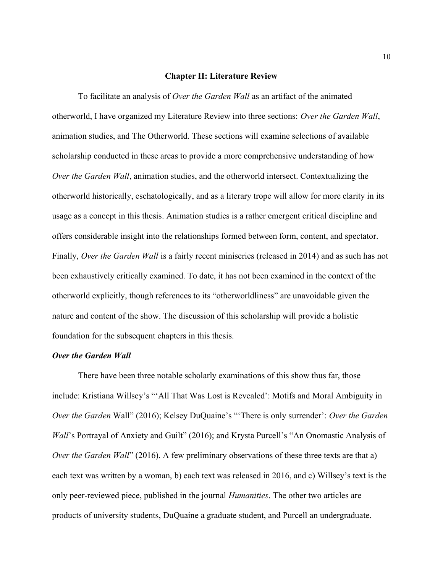#### Chapter II: Literature Review

To facilitate an analysis of *Over the Garden Wall* as an artifact of the animated otherworld, I have organized my Literature Review into three sections: Over the Garden Wall, animation studies, and The Otherworld. These sections will examine selections of available scholarship conducted in these areas to provide a more comprehensive understanding of how Over the Garden Wall, animation studies, and the otherworld intersect. Contextualizing the otherworld historically, eschatologically, and as a literary trope will allow for more clarity in its usage as a concept in this thesis. Animation studies is a rather emergent critical discipline and offers considerable insight into the relationships formed between form, content, and spectator. Finally, Over the Garden Wall is a fairly recent miniseries (released in 2014) and as such has not been exhaustively critically examined. To date, it has not been examined in the context of the otherworld explicitly, though references to its "otherworldliness" are unavoidable given the nature and content of the show. The discussion of this scholarship will provide a holistic foundation for the subsequent chapters in this thesis.

### Over the Garden Wall

There have been three notable scholarly examinations of this show thus far, those include: Kristiana Willsey's "'All That Was Lost is Revealed': Motifs and Moral Ambiguity in Over the Garden Wall" (2016); Kelsey DuQuaine's "There is only surrender': Over the Garden Wall's Portrayal of Anxiety and Guilt" (2016); and Krysta Purcell's "An Onomastic Analysis of Over the Garden Wall" (2016). A few preliminary observations of these three texts are that a) each text was written by a woman, b) each text was released in 2016, and c) Willsey's text is the only peer-reviewed piece, published in the journal Humanities. The other two articles are products of university students, DuQuaine a graduate student, and Purcell an undergraduate.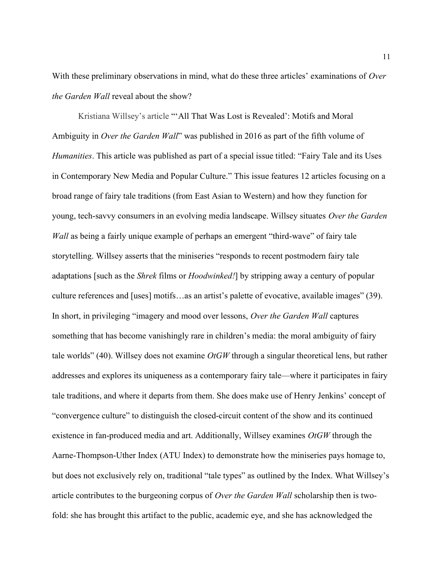With these preliminary observations in mind, what do these three articles' examinations of Over the Garden Wall reveal about the show?

 Kristiana Willsey's article "'All That Was Lost is Revealed': Motifs and Moral Ambiguity in *Over the Garden Wall*" was published in 2016 as part of the fifth volume of Humanities. This article was published as part of a special issue titled: "Fairy Tale and its Uses in Contemporary New Media and Popular Culture." This issue features 12 articles focusing on a broad range of fairy tale traditions (from East Asian to Western) and how they function for young, tech-savvy consumers in an evolving media landscape. Willsey situates Over the Garden Wall as being a fairly unique example of perhaps an emergent "third-wave" of fairy tale storytelling. Willsey asserts that the miniseries "responds to recent postmodern fairy tale adaptations [such as the *Shrek* films or *Hoodwinked*!] by stripping away a century of popular culture references and [uses] motifs…as an artist's palette of evocative, available images" (39). In short, in privileging "imagery and mood over lessons, Over the Garden Wall captures something that has become vanishingly rare in children's media: the moral ambiguity of fairy tale worlds" (40). Willsey does not examine  $OtGW$  through a singular theoretical lens, but rather addresses and explores its uniqueness as a contemporary fairy tale—where it participates in fairy tale traditions, and where it departs from them. She does make use of Henry Jenkins' concept of "convergence culture" to distinguish the closed-circuit content of the show and its continued existence in fan-produced media and art. Additionally, Willsey examines  $OtGW$  through the Aarne-Thompson-Uther Index (ATU Index) to demonstrate how the miniseries pays homage to, but does not exclusively rely on, traditional "tale types" as outlined by the Index. What Willsey's article contributes to the burgeoning corpus of Over the Garden Wall scholarship then is twofold: she has brought this artifact to the public, academic eye, and she has acknowledged the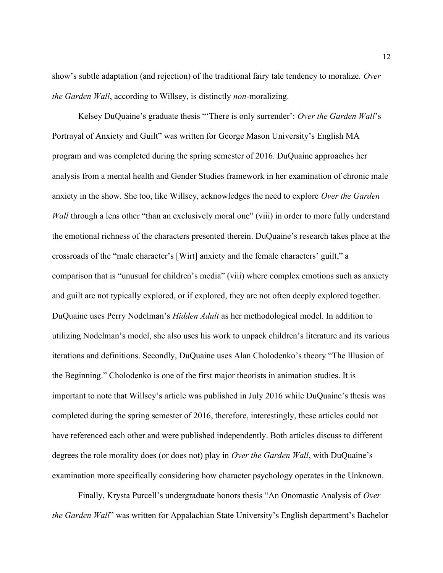show's subtle adaptation (and rejection) of the traditional fairy tale tendency to moralize. Over the Garden Wall, according to Willsey, is distinctly non-moralizing.

Kelsey DuQuaine's graduate thesis "There is only surrender': Over the Garden Wall's Portrayal of Anxiety and Guilt" was written for George Mason University's English MA program and was completed during the spring semester of 2016. DuQuaine approaches her analysis from a mental health and Gender Studies framework in her examination of chronic male anxiety in the show. She too, like Willsey, acknowledges the need to explore Over the Garden Wall through a lens other "than an exclusively moral one" (viii) in order to more fully understand the emotional richness of the characters presented therein. DuQuaine's research takes place at the crossroads of the "male character's [Wirt] anxiety and the female characters' guilt," a comparison that is "unusual for children's media" (viii) where complex emotions such as anxiety and guilt are not typically explored, or if explored, they are not often deeply explored together. DuQuaine uses Perry Nodelman's Hidden Adult as her methodological model. In addition to utilizing Nodelman's model, she also uses his work to unpack children's literature and its various iterations and definitions. Secondly, DuQuaine uses Alan Cholodenko's theory "The Illusion of the Beginning." Cholodenko is one of the first major theorists in animation studies. It is important to note that Willsey's article was published in July 2016 while DuQuaine's thesis was completed during the spring semester of 2016, therefore, interestingly, these articles could not have referenced each other and were published independently. Both articles discuss to different degrees the role morality does (or does not) play in *Over the Garden Wall*, with DuQuaine's examination more specifically considering how character psychology operates in the Unknown.

Finally, Krysta Purcell's undergraduate honors thesis "An Onomastic Analysis of Over the Garden Wall" was written for Appalachian State University's English department's Bachelor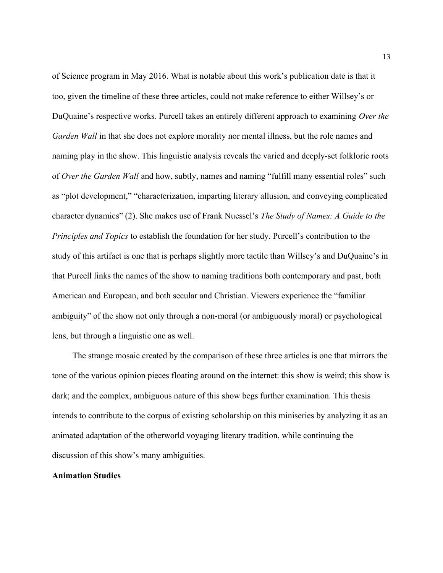of Science program in May 2016. What is notable about this work's publication date is that it too, given the timeline of these three articles, could not make reference to either Willsey's or DuQuaine's respective works. Purcell takes an entirely different approach to examining Over the Garden Wall in that she does not explore morality nor mental illness, but the role names and naming play in the show. This linguistic analysis reveals the varied and deeply-set folkloric roots of Over the Garden Wall and how, subtly, names and naming "fulfill many essential roles" such as "plot development," "characterization, imparting literary allusion, and conveying complicated character dynamics" (2). She makes use of Frank Nuessel's The Study of Names: A Guide to the Principles and Topics to establish the foundation for her study. Purcell's contribution to the study of this artifact is one that is perhaps slightly more tactile than Willsey's and DuQuaine's in that Purcell links the names of the show to naming traditions both contemporary and past, both American and European, and both secular and Christian. Viewers experience the "familiar ambiguity" of the show not only through a non-moral (or ambiguously moral) or psychological lens, but through a linguistic one as well.

The strange mosaic created by the comparison of these three articles is one that mirrors the tone of the various opinion pieces floating around on the internet: this show is weird; this show is dark; and the complex, ambiguous nature of this show begs further examination. This thesis intends to contribute to the corpus of existing scholarship on this miniseries by analyzing it as an animated adaptation of the otherworld voyaging literary tradition, while continuing the discussion of this show's many ambiguities.

### Animation Studies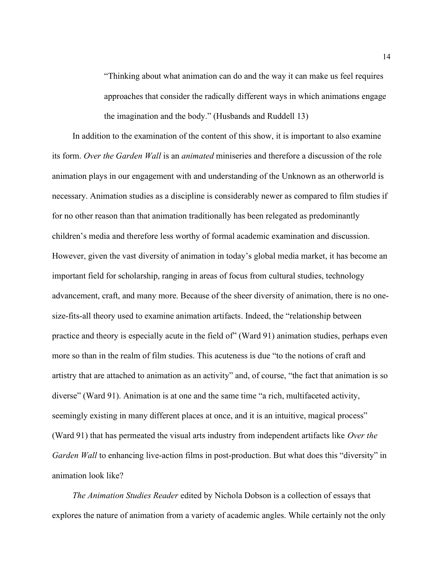"Thinking about what animation can do and the way it can make us feel requires approaches that consider the radically different ways in which animations engage the imagination and the body." (Husbands and Ruddell 13)

In addition to the examination of the content of this show, it is important to also examine its form. Over the Garden Wall is an animated miniseries and therefore a discussion of the role animation plays in our engagement with and understanding of the Unknown as an otherworld is necessary. Animation studies as a discipline is considerably newer as compared to film studies if for no other reason than that animation traditionally has been relegated as predominantly children's media and therefore less worthy of formal academic examination and discussion. However, given the vast diversity of animation in today's global media market, it has become an important field for scholarship, ranging in areas of focus from cultural studies, technology advancement, craft, and many more. Because of the sheer diversity of animation, there is no onesize-fits-all theory used to examine animation artifacts. Indeed, the "relationship between practice and theory is especially acute in the field of" (Ward 91) animation studies, perhaps even more so than in the realm of film studies. This acuteness is due "to the notions of craft and artistry that are attached to animation as an activity" and, of course, "the fact that animation is so diverse" (Ward 91). Animation is at one and the same time "a rich, multifaceted activity, seemingly existing in many different places at once, and it is an intuitive, magical process" (Ward 91) that has permeated the visual arts industry from independent artifacts like Over the Garden Wall to enhancing live-action films in post-production. But what does this "diversity" in animation look like?

The Animation Studies Reader edited by Nichola Dobson is a collection of essays that explores the nature of animation from a variety of academic angles. While certainly not the only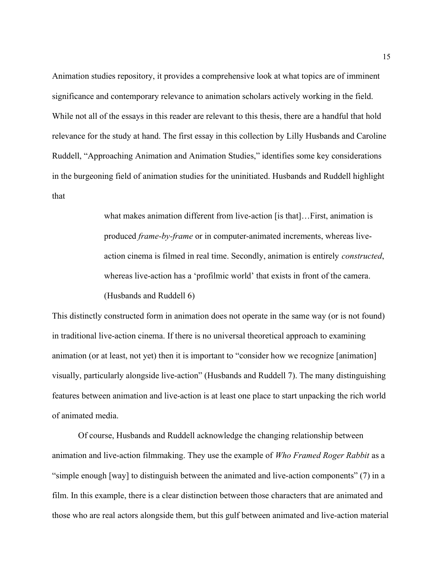Animation studies repository, it provides a comprehensive look at what topics are of imminent significance and contemporary relevance to animation scholars actively working in the field. While not all of the essays in this reader are relevant to this thesis, there are a handful that hold relevance for the study at hand. The first essay in this collection by Lilly Husbands and Caroline Ruddell, "Approaching Animation and Animation Studies," identifies some key considerations in the burgeoning field of animation studies for the uninitiated. Husbands and Ruddell highlight that

> what makes animation different from live-action [is that]…First, animation is produced frame-by-frame or in computer-animated increments, whereas liveaction cinema is filmed in real time. Secondly, animation is entirely constructed, whereas live-action has a 'profilmic world' that exists in front of the camera. (Husbands and Ruddell 6)

This distinctly constructed form in animation does not operate in the same way (or is not found) in traditional live-action cinema. If there is no universal theoretical approach to examining animation (or at least, not yet) then it is important to "consider how we recognize [animation] visually, particularly alongside live-action" (Husbands and Ruddell 7). The many distinguishing features between animation and live-action is at least one place to start unpacking the rich world of animated media.

 Of course, Husbands and Ruddell acknowledge the changing relationship between animation and live-action filmmaking. They use the example of Who Framed Roger Rabbit as a "simple enough [way] to distinguish between the animated and live-action components" (7) in a film. In this example, there is a clear distinction between those characters that are animated and those who are real actors alongside them, but this gulf between animated and live-action material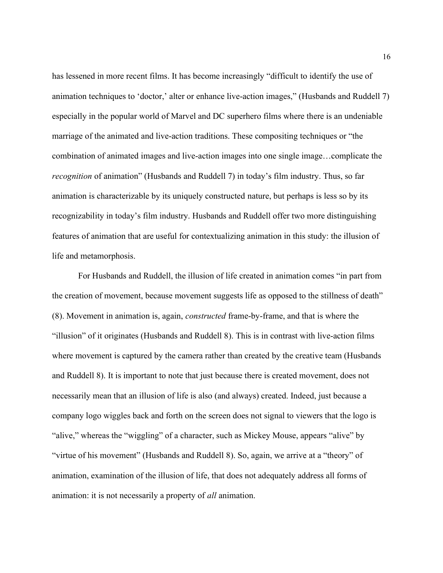has lessened in more recent films. It has become increasingly "difficult to identify the use of animation techniques to 'doctor,' alter or enhance live-action images," (Husbands and Ruddell 7) especially in the popular world of Marvel and DC superhero films where there is an undeniable marriage of the animated and live-action traditions. These compositing techniques or "the combination of animated images and live-action images into one single image…complicate the recognition of animation" (Husbands and Ruddell 7) in today's film industry. Thus, so far animation is characterizable by its uniquely constructed nature, but perhaps is less so by its recognizability in today's film industry. Husbands and Ruddell offer two more distinguishing features of animation that are useful for contextualizing animation in this study: the illusion of life and metamorphosis.

 For Husbands and Ruddell, the illusion of life created in animation comes "in part from the creation of movement, because movement suggests life as opposed to the stillness of death" (8). Movement in animation is, again, constructed frame-by-frame, and that is where the "illusion" of it originates (Husbands and Ruddell 8). This is in contrast with live-action films where movement is captured by the camera rather than created by the creative team (Husbands and Ruddell 8). It is important to note that just because there is created movement, does not necessarily mean that an illusion of life is also (and always) created. Indeed, just because a company logo wiggles back and forth on the screen does not signal to viewers that the logo is "alive," whereas the "wiggling" of a character, such as Mickey Mouse, appears "alive" by "virtue of his movement" (Husbands and Ruddell 8). So, again, we arrive at a "theory" of animation, examination of the illusion of life, that does not adequately address all forms of animation: it is not necessarily a property of all animation.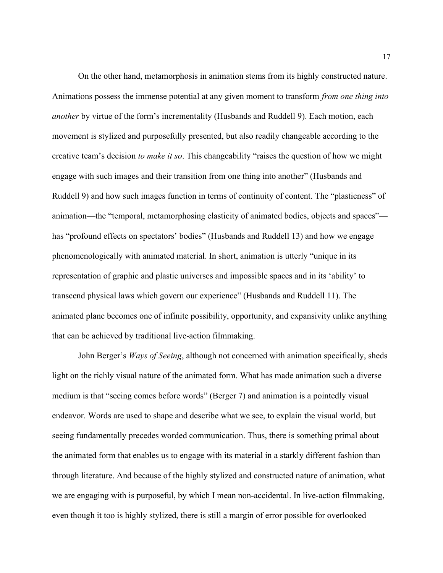On the other hand, metamorphosis in animation stems from its highly constructed nature. Animations possess the immense potential at any given moment to transform from one thing into another by virtue of the form's incrementality (Husbands and Ruddell 9). Each motion, each movement is stylized and purposefully presented, but also readily changeable according to the creative team's decision to make it so. This changeability "raises the question of how we might engage with such images and their transition from one thing into another" (Husbands and Ruddell 9) and how such images function in terms of continuity of content. The "plasticness" of animation—the "temporal, metamorphosing elasticity of animated bodies, objects and spaces" has "profound effects on spectators' bodies" (Husbands and Ruddell 13) and how we engage phenomenologically with animated material. In short, animation is utterly "unique in its representation of graphic and plastic universes and impossible spaces and in its 'ability' to transcend physical laws which govern our experience" (Husbands and Ruddell 11). The animated plane becomes one of infinite possibility, opportunity, and expansivity unlike anything that can be achieved by traditional live-action filmmaking.

John Berger's *Ways of Seeing*, although not concerned with animation specifically, sheds light on the richly visual nature of the animated form. What has made animation such a diverse medium is that "seeing comes before words" (Berger 7) and animation is a pointedly visual endeavor. Words are used to shape and describe what we see, to explain the visual world, but seeing fundamentally precedes worded communication. Thus, there is something primal about the animated form that enables us to engage with its material in a starkly different fashion than through literature. And because of the highly stylized and constructed nature of animation, what we are engaging with is purposeful, by which I mean non-accidental. In live-action filmmaking, even though it too is highly stylized, there is still a margin of error possible for overlooked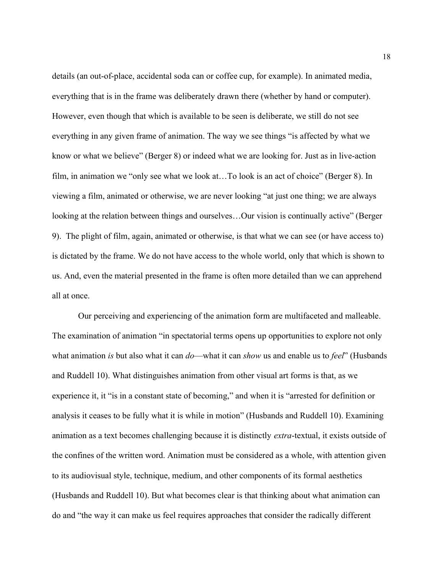details (an out-of-place, accidental soda can or coffee cup, for example). In animated media, everything that is in the frame was deliberately drawn there (whether by hand or computer). However, even though that which is available to be seen is deliberate, we still do not see everything in any given frame of animation. The way we see things "is affected by what we know or what we believe" (Berger 8) or indeed what we are looking for. Just as in live-action film, in animation we "only see what we look at…To look is an act of choice" (Berger 8). In viewing a film, animated or otherwise, we are never looking "at just one thing; we are always looking at the relation between things and ourselves…Our vision is continually active" (Berger 9). The plight of film, again, animated or otherwise, is that what we can see (or have access to) is dictated by the frame. We do not have access to the whole world, only that which is shown to us. And, even the material presented in the frame is often more detailed than we can apprehend all at once.

 Our perceiving and experiencing of the animation form are multifaceted and malleable. The examination of animation "in spectatorial terms opens up opportunities to explore not only what animation is but also what it can  $do$ —what it can show us and enable us to feel" (Husbands and Ruddell 10). What distinguishes animation from other visual art forms is that, as we experience it, it "is in a constant state of becoming," and when it is "arrested for definition or analysis it ceases to be fully what it is while in motion" (Husbands and Ruddell 10). Examining animation as a text becomes challenging because it is distinctly extra-textual, it exists outside of the confines of the written word. Animation must be considered as a whole, with attention given to its audiovisual style, technique, medium, and other components of its formal aesthetics (Husbands and Ruddell 10). But what becomes clear is that thinking about what animation can do and "the way it can make us feel requires approaches that consider the radically different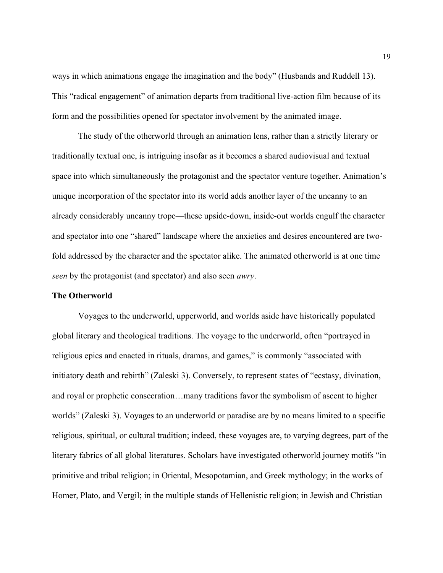ways in which animations engage the imagination and the body" (Husbands and Ruddell 13). This "radical engagement" of animation departs from traditional live-action film because of its form and the possibilities opened for spectator involvement by the animated image.

 The study of the otherworld through an animation lens, rather than a strictly literary or traditionally textual one, is intriguing insofar as it becomes a shared audiovisual and textual space into which simultaneously the protagonist and the spectator venture together. Animation's unique incorporation of the spectator into its world adds another layer of the uncanny to an already considerably uncanny trope—these upside-down, inside-out worlds engulf the character and spectator into one "shared" landscape where the anxieties and desires encountered are twofold addressed by the character and the spectator alike. The animated otherworld is at one time seen by the protagonist (and spectator) and also seen *awry*.

### The Otherworld

Voyages to the underworld, upperworld, and worlds aside have historically populated global literary and theological traditions. The voyage to the underworld, often "portrayed in religious epics and enacted in rituals, dramas, and games," is commonly "associated with initiatory death and rebirth" (Zaleski 3). Conversely, to represent states of "ecstasy, divination, and royal or prophetic consecration…many traditions favor the symbolism of ascent to higher worlds" (Zaleski 3). Voyages to an underworld or paradise are by no means limited to a specific religious, spiritual, or cultural tradition; indeed, these voyages are, to varying degrees, part of the literary fabrics of all global literatures. Scholars have investigated otherworld journey motifs "in primitive and tribal religion; in Oriental, Mesopotamian, and Greek mythology; in the works of Homer, Plato, and Vergil; in the multiple stands of Hellenistic religion; in Jewish and Christian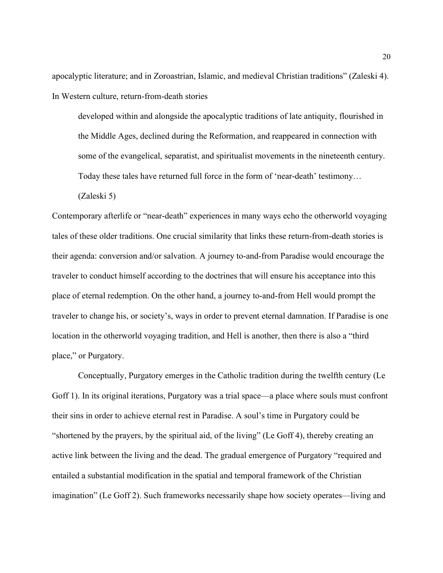apocalyptic literature; and in Zoroastrian, Islamic, and medieval Christian traditions" (Zaleski 4). In Western culture, return-from-death stories

developed within and alongside the apocalyptic traditions of late antiquity, flourished in the Middle Ages, declined during the Reformation, and reappeared in connection with some of the evangelical, separatist, and spiritualist movements in the nineteenth century. Today these tales have returned full force in the form of 'near-death' testimony…

(Zaleski 5)

Contemporary afterlife or "near-death" experiences in many ways echo the otherworld voyaging tales of these older traditions. One crucial similarity that links these return-from-death stories is their agenda: conversion and/or salvation. A journey to-and-from Paradise would encourage the traveler to conduct himself according to the doctrines that will ensure his acceptance into this place of eternal redemption. On the other hand, a journey to-and-from Hell would prompt the traveler to change his, or society's, ways in order to prevent eternal damnation. If Paradise is one location in the otherworld voyaging tradition, and Hell is another, then there is also a "third place," or Purgatory.

Conceptually, Purgatory emerges in the Catholic tradition during the twelfth century (Le Goff 1). In its original iterations, Purgatory was a trial space—a place where souls must confront their sins in order to achieve eternal rest in Paradise. A soul's time in Purgatory could be "shortened by the prayers, by the spiritual aid, of the living" (Le Goff 4), thereby creating an active link between the living and the dead. The gradual emergence of Purgatory "required and entailed a substantial modification in the spatial and temporal framework of the Christian imagination" (Le Goff 2). Such frameworks necessarily shape how society operates—living and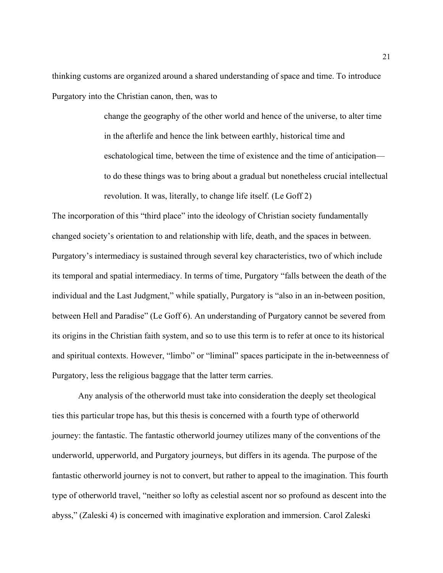thinking customs are organized around a shared understanding of space and time. To introduce Purgatory into the Christian canon, then, was to

> change the geography of the other world and hence of the universe, to alter time in the afterlife and hence the link between earthly, historical time and eschatological time, between the time of existence and the time of anticipation to do these things was to bring about a gradual but nonetheless crucial intellectual revolution. It was, literally, to change life itself. (Le Goff 2)

The incorporation of this "third place" into the ideology of Christian society fundamentally changed society's orientation to and relationship with life, death, and the spaces in between. Purgatory's intermediacy is sustained through several key characteristics, two of which include its temporal and spatial intermediacy. In terms of time, Purgatory "falls between the death of the individual and the Last Judgment," while spatially, Purgatory is "also in an in-between position, between Hell and Paradise" (Le Goff 6). An understanding of Purgatory cannot be severed from its origins in the Christian faith system, and so to use this term is to refer at once to its historical and spiritual contexts. However, "limbo" or "liminal" spaces participate in the in-betweenness of Purgatory, less the religious baggage that the latter term carries.

 Any analysis of the otherworld must take into consideration the deeply set theological ties this particular trope has, but this thesis is concerned with a fourth type of otherworld journey: the fantastic. The fantastic otherworld journey utilizes many of the conventions of the underworld, upperworld, and Purgatory journeys, but differs in its agenda. The purpose of the fantastic otherworld journey is not to convert, but rather to appeal to the imagination. This fourth type of otherworld travel, "neither so lofty as celestial ascent nor so profound as descent into the abyss," (Zaleski 4) is concerned with imaginative exploration and immersion. Carol Zaleski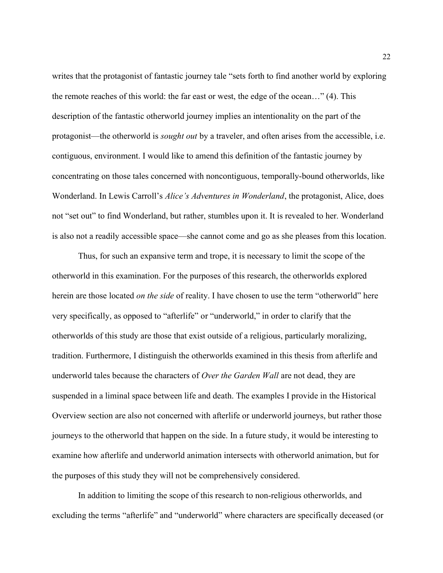writes that the protagonist of fantastic journey tale "sets forth to find another world by exploring the remote reaches of this world: the far east or west, the edge of the ocean…" (4). This description of the fantastic otherworld journey implies an intentionality on the part of the protagonist—the otherworld is sought out by a traveler, and often arises from the accessible, i.e. contiguous, environment. I would like to amend this definition of the fantastic journey by concentrating on those tales concerned with noncontiguous, temporally-bound otherworlds, like Wonderland. In Lewis Carroll's Alice's Adventures in Wonderland, the protagonist, Alice, does not "set out" to find Wonderland, but rather, stumbles upon it. It is revealed to her. Wonderland is also not a readily accessible space—she cannot come and go as she pleases from this location.

Thus, for such an expansive term and trope, it is necessary to limit the scope of the otherworld in this examination. For the purposes of this research, the otherworlds explored herein are those located *on the side* of reality. I have chosen to use the term "otherworld" here very specifically, as opposed to "afterlife" or "underworld," in order to clarify that the otherworlds of this study are those that exist outside of a religious, particularly moralizing, tradition. Furthermore, I distinguish the otherworlds examined in this thesis from afterlife and underworld tales because the characters of Over the Garden Wall are not dead, they are suspended in a liminal space between life and death. The examples I provide in the Historical Overview section are also not concerned with afterlife or underworld journeys, but rather those journeys to the otherworld that happen on the side. In a future study, it would be interesting to examine how afterlife and underworld animation intersects with otherworld animation, but for the purposes of this study they will not be comprehensively considered.

In addition to limiting the scope of this research to non-religious otherworlds, and excluding the terms "afterlife" and "underworld" where characters are specifically deceased (or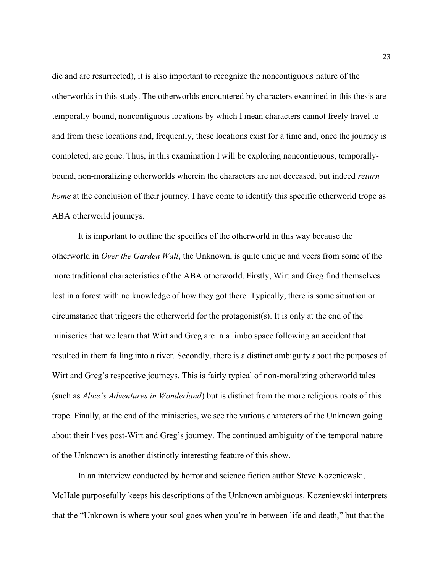die and are resurrected), it is also important to recognize the noncontiguous nature of the otherworlds in this study. The otherworlds encountered by characters examined in this thesis are temporally-bound, noncontiguous locations by which I mean characters cannot freely travel to and from these locations and, frequently, these locations exist for a time and, once the journey is completed, are gone. Thus, in this examination I will be exploring noncontiguous, temporallybound, non-moralizing otherworlds wherein the characters are not deceased, but indeed *return* home at the conclusion of their journey. I have come to identify this specific otherworld trope as ABA otherworld journeys.

It is important to outline the specifics of the otherworld in this way because the otherworld in Over the Garden Wall, the Unknown, is quite unique and veers from some of the more traditional characteristics of the ABA otherworld. Firstly, Wirt and Greg find themselves lost in a forest with no knowledge of how they got there. Typically, there is some situation or circumstance that triggers the otherworld for the protagonist(s). It is only at the end of the miniseries that we learn that Wirt and Greg are in a limbo space following an accident that resulted in them falling into a river. Secondly, there is a distinct ambiguity about the purposes of Wirt and Greg's respective journeys. This is fairly typical of non-moralizing otherworld tales (such as Alice's Adventures in Wonderland) but is distinct from the more religious roots of this trope. Finally, at the end of the miniseries, we see the various characters of the Unknown going about their lives post-Wirt and Greg's journey. The continued ambiguity of the temporal nature of the Unknown is another distinctly interesting feature of this show.

In an interview conducted by horror and science fiction author Steve Kozeniewski, McHale purposefully keeps his descriptions of the Unknown ambiguous. Kozeniewski interprets that the "Unknown is where your soul goes when you're in between life and death," but that the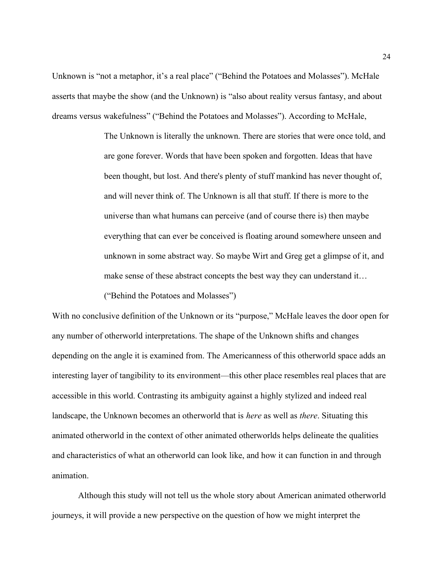Unknown is "not a metaphor, it's a real place" ("Behind the Potatoes and Molasses"). McHale asserts that maybe the show (and the Unknown) is "also about reality versus fantasy, and about dreams versus wakefulness" ("Behind the Potatoes and Molasses"). According to McHale,

> The Unknown is literally the unknown. There are stories that were once told, and are gone forever. Words that have been spoken and forgotten. Ideas that have been thought, but lost. And there's plenty of stuff mankind has never thought of, and will never think of. The Unknown is all that stuff. If there is more to the universe than what humans can perceive (and of course there is) then maybe everything that can ever be conceived is floating around somewhere unseen and unknown in some abstract way. So maybe Wirt and Greg get a glimpse of it, and make sense of these abstract concepts the best way they can understand it… ("Behind the Potatoes and Molasses")

With no conclusive definition of the Unknown or its "purpose," McHale leaves the door open for any number of otherworld interpretations. The shape of the Unknown shifts and changes depending on the angle it is examined from. The Americanness of this otherworld space adds an interesting layer of tangibility to its environment—this other place resembles real places that are accessible in this world. Contrasting its ambiguity against a highly stylized and indeed real landscape, the Unknown becomes an otherworld that is here as well as there. Situating this animated otherworld in the context of other animated otherworlds helps delineate the qualities and characteristics of what an otherworld can look like, and how it can function in and through animation.

Although this study will not tell us the whole story about American animated otherworld journeys, it will provide a new perspective on the question of how we might interpret the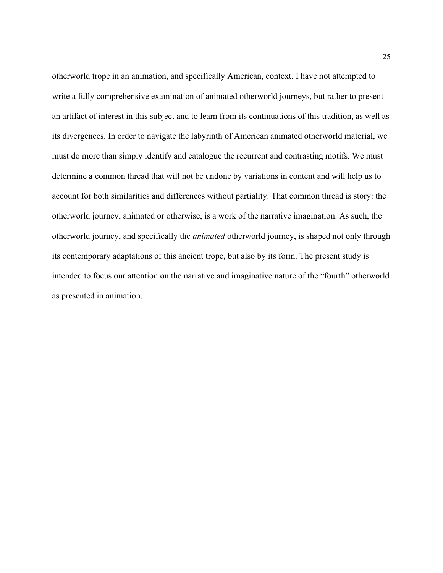otherworld trope in an animation, and specifically American, context. I have not attempted to write a fully comprehensive examination of animated otherworld journeys, but rather to present an artifact of interest in this subject and to learn from its continuations of this tradition, as well as its divergences. In order to navigate the labyrinth of American animated otherworld material, we must do more than simply identify and catalogue the recurrent and contrasting motifs. We must determine a common thread that will not be undone by variations in content and will help us to account for both similarities and differences without partiality. That common thread is story: the otherworld journey, animated or otherwise, is a work of the narrative imagination. As such, the otherworld journey, and specifically the animated otherworld journey, is shaped not only through its contemporary adaptations of this ancient trope, but also by its form. The present study is intended to focus our attention on the narrative and imaginative nature of the "fourth" otherworld as presented in animation.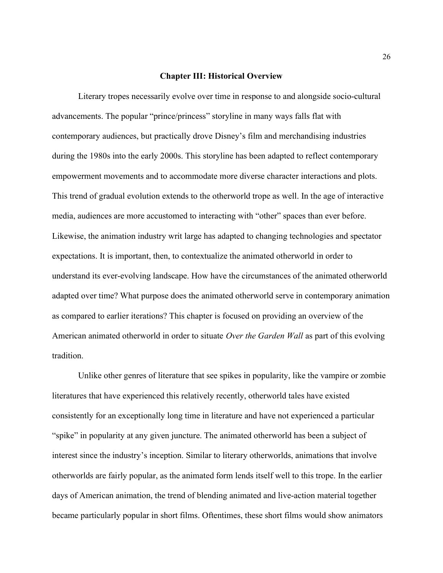#### Chapter III: Historical Overview

Literary tropes necessarily evolve over time in response to and alongside socio-cultural advancements. The popular "prince/princess" storyline in many ways falls flat with contemporary audiences, but practically drove Disney's film and merchandising industries during the 1980s into the early 2000s. This storyline has been adapted to reflect contemporary empowerment movements and to accommodate more diverse character interactions and plots. This trend of gradual evolution extends to the otherworld trope as well. In the age of interactive media, audiences are more accustomed to interacting with "other" spaces than ever before. Likewise, the animation industry writ large has adapted to changing technologies and spectator expectations. It is important, then, to contextualize the animated otherworld in order to understand its ever-evolving landscape. How have the circumstances of the animated otherworld adapted over time? What purpose does the animated otherworld serve in contemporary animation as compared to earlier iterations? This chapter is focused on providing an overview of the American animated otherworld in order to situate *Over the Garden Wall* as part of this evolving tradition.

Unlike other genres of literature that see spikes in popularity, like the vampire or zombie literatures that have experienced this relatively recently, otherworld tales have existed consistently for an exceptionally long time in literature and have not experienced a particular "spike" in popularity at any given juncture. The animated otherworld has been a subject of interest since the industry's inception. Similar to literary otherworlds, animations that involve otherworlds are fairly popular, as the animated form lends itself well to this trope. In the earlier days of American animation, the trend of blending animated and live-action material together became particularly popular in short films. Oftentimes, these short films would show animators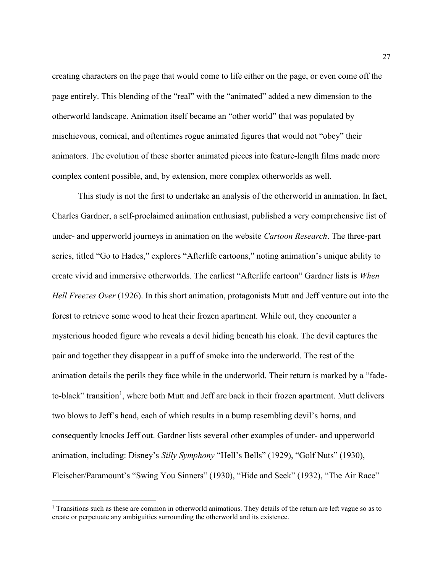creating characters on the page that would come to life either on the page, or even come off the page entirely. This blending of the "real" with the "animated" added a new dimension to the otherworld landscape. Animation itself became an "other world" that was populated by mischievous, comical, and oftentimes rogue animated figures that would not "obey" their animators. The evolution of these shorter animated pieces into feature-length films made more complex content possible, and, by extension, more complex otherworlds as well.

 This study is not the first to undertake an analysis of the otherworld in animation. In fact, Charles Gardner, a self-proclaimed animation enthusiast, published a very comprehensive list of under- and upperworld journeys in animation on the website Cartoon Research. The three-part series, titled "Go to Hades," explores "Afterlife cartoons," noting animation's unique ability to create vivid and immersive otherworlds. The earliest "Afterlife cartoon" Gardner lists is When Hell Freezes Over (1926). In this short animation, protagonists Mutt and Jeff venture out into the forest to retrieve some wood to heat their frozen apartment. While out, they encounter a mysterious hooded figure who reveals a devil hiding beneath his cloak. The devil captures the pair and together they disappear in a puff of smoke into the underworld. The rest of the animation details the perils they face while in the underworld. Their return is marked by a "fadeto-black" transition<sup>1</sup>, where both Mutt and Jeff are back in their frozen apartment. Mutt delivers two blows to Jeff's head, each of which results in a bump resembling devil's horns, and consequently knocks Jeff out. Gardner lists several other examples of under- and upperworld animation, including: Disney's Silly Symphony "Hell's Bells" (1929), "Golf Nuts" (1930), Fleischer/Paramount's "Swing You Sinners" (1930), "Hide and Seek" (1932), "The Air Race"

<sup>&</sup>lt;sup>1</sup> Transitions such as these are common in otherworld animations. They details of the return are left vague so as to create or perpetuate any ambiguities surrounding the otherworld and its existence.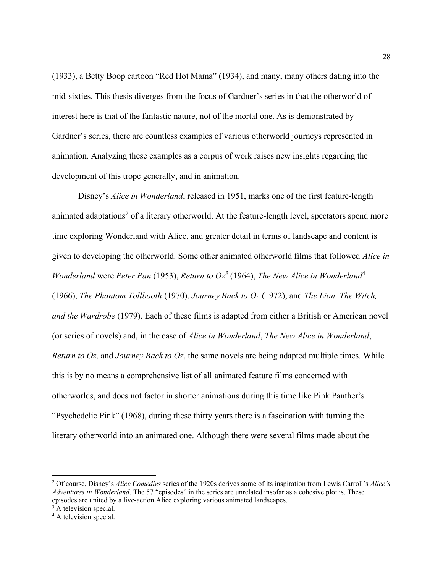(1933), a Betty Boop cartoon "Red Hot Mama" (1934), and many, many others dating into the mid-sixties. This thesis diverges from the focus of Gardner's series in that the otherworld of interest here is that of the fantastic nature, not of the mortal one. As is demonstrated by Gardner's series, there are countless examples of various otherworld journeys represented in animation. Analyzing these examples as a corpus of work raises new insights regarding the development of this trope generally, and in animation.

Disney's *Alice in Wonderland*, released in 1951, marks one of the first feature-length animated adaptations<sup>2</sup> of a literary otherworld. At the feature-length level, spectators spend more time exploring Wonderland with Alice, and greater detail in terms of landscape and content is given to developing the otherworld. Some other animated otherworld films that followed Alice in Wonderland were Peter Pan (1953), Return to  $Oz<sup>3</sup>$  (1964), The New Alice in Wonderland<sup>4</sup> (1966), The Phantom Tollbooth (1970), Journey Back to Oz (1972), and The Lion, The Witch, and the Wardrobe (1979). Each of these films is adapted from either a British or American novel (or series of novels) and, in the case of Alice in Wonderland, The New Alice in Wonderland, Return to Oz, and Journey Back to Oz, the same novels are being adapted multiple times. While this is by no means a comprehensive list of all animated feature films concerned with otherworlds, and does not factor in shorter animations during this time like Pink Panther's "Psychedelic Pink" (1968), during these thirty years there is a fascination with turning the literary otherworld into an animated one. Although there were several films made about the

<sup>&</sup>lt;sup>2</sup> Of course, Disney's *Alice Comedies* series of the 1920s derives some of its inspiration from Lewis Carroll's *Alice's* Adventures in Wonderland. The 57 "episodes" in the series are unrelated insofar as a cohesive plot is. These episodes are united by a live-action Alice exploring various animated landscapes.

<sup>&</sup>lt;sup>3</sup> A television special.

<sup>&</sup>lt;sup>4</sup> A television special.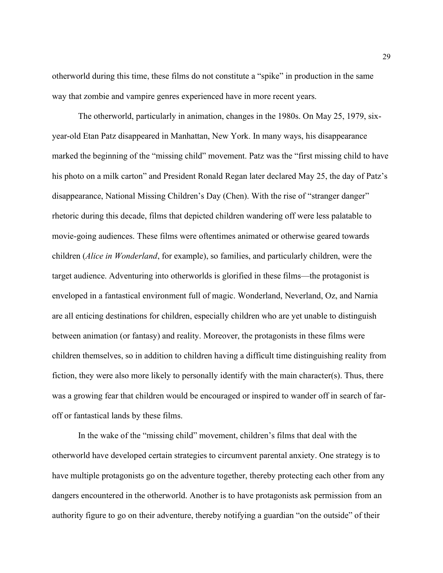otherworld during this time, these films do not constitute a "spike" in production in the same way that zombie and vampire genres experienced have in more recent years.

 The otherworld, particularly in animation, changes in the 1980s. On May 25, 1979, sixyear-old Etan Patz disappeared in Manhattan, New York. In many ways, his disappearance marked the beginning of the "missing child" movement. Patz was the "first missing child to have his photo on a milk carton" and President Ronald Regan later declared May 25, the day of Patz's disappearance, National Missing Children's Day (Chen). With the rise of "stranger danger" rhetoric during this decade, films that depicted children wandering off were less palatable to movie-going audiences. These films were oftentimes animated or otherwise geared towards children (*Alice in Wonderland*, for example), so families, and particularly children, were the target audience. Adventuring into otherworlds is glorified in these films—the protagonist is enveloped in a fantastical environment full of magic. Wonderland, Neverland, Oz, and Narnia are all enticing destinations for children, especially children who are yet unable to distinguish between animation (or fantasy) and reality. Moreover, the protagonists in these films were children themselves, so in addition to children having a difficult time distinguishing reality from fiction, they were also more likely to personally identify with the main character(s). Thus, there was a growing fear that children would be encouraged or inspired to wander off in search of faroff or fantastical lands by these films.

 In the wake of the "missing child" movement, children's films that deal with the otherworld have developed certain strategies to circumvent parental anxiety. One strategy is to have multiple protagonists go on the adventure together, thereby protecting each other from any dangers encountered in the otherworld. Another is to have protagonists ask permission from an authority figure to go on their adventure, thereby notifying a guardian "on the outside" of their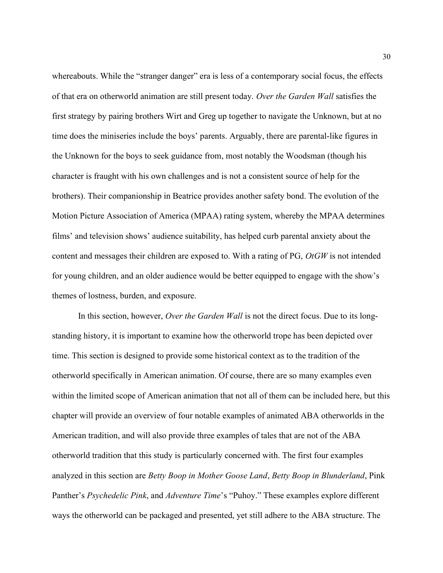whereabouts. While the "stranger danger" era is less of a contemporary social focus, the effects of that era on otherworld animation are still present today. Over the Garden Wall satisfies the first strategy by pairing brothers Wirt and Greg up together to navigate the Unknown, but at no time does the miniseries include the boys' parents. Arguably, there are parental-like figures in the Unknown for the boys to seek guidance from, most notably the Woodsman (though his character is fraught with his own challenges and is not a consistent source of help for the brothers). Their companionship in Beatrice provides another safety bond. The evolution of the Motion Picture Association of America (MPAA) rating system, whereby the MPAA determines films' and television shows' audience suitability, has helped curb parental anxiety about the content and messages their children are exposed to. With a rating of PG, OtGW is not intended for young children, and an older audience would be better equipped to engage with the show's themes of lostness, burden, and exposure.

In this section, however, *Over the Garden Wall* is not the direct focus. Due to its longstanding history, it is important to examine how the otherworld trope has been depicted over time. This section is designed to provide some historical context as to the tradition of the otherworld specifically in American animation. Of course, there are so many examples even within the limited scope of American animation that not all of them can be included here, but this chapter will provide an overview of four notable examples of animated ABA otherworlds in the American tradition, and will also provide three examples of tales that are not of the ABA otherworld tradition that this study is particularly concerned with. The first four examples analyzed in this section are Betty Boop in Mother Goose Land, Betty Boop in Blunderland, Pink Panther's Psychedelic Pink, and Adventure Time's "Puhoy." These examples explore different ways the otherworld can be packaged and presented, yet still adhere to the ABA structure. The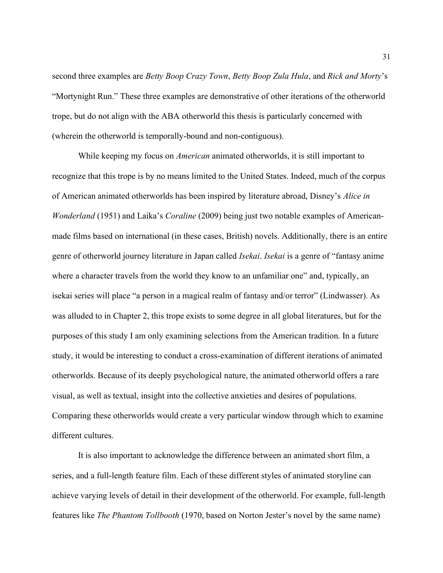second three examples are *Betty Boop Crazy Town, Betty Boop Zula Hula,* and *Rick and Morty's* "Mortynight Run." These three examples are demonstrative of other iterations of the otherworld trope, but do not align with the ABA otherworld this thesis is particularly concerned with (wherein the otherworld is temporally-bound and non-contiguous).

While keeping my focus on *American* animated otherworlds, it is still important to recognize that this trope is by no means limited to the United States. Indeed, much of the corpus of American animated otherworlds has been inspired by literature abroad, Disney's Alice in Wonderland (1951) and Laika's Coraline (2009) being just two notable examples of Americanmade films based on international (in these cases, British) novels. Additionally, there is an entire genre of otherworld journey literature in Japan called Isekai. Isekai is a genre of "fantasy anime where a character travels from the world they know to an unfamiliar one" and, typically, an isekai series will place "a person in a magical realm of fantasy and/or terror" (Lindwasser). As was alluded to in Chapter 2, this trope exists to some degree in all global literatures, but for the purposes of this study I am only examining selections from the American tradition. In a future study, it would be interesting to conduct a cross-examination of different iterations of animated otherworlds. Because of its deeply psychological nature, the animated otherworld offers a rare visual, as well as textual, insight into the collective anxieties and desires of populations. Comparing these otherworlds would create a very particular window through which to examine different cultures.

It is also important to acknowledge the difference between an animated short film, a series, and a full-length feature film. Each of these different styles of animated storyline can achieve varying levels of detail in their development of the otherworld. For example, full-length features like *The Phantom Tollbooth* (1970, based on Norton Jester's novel by the same name)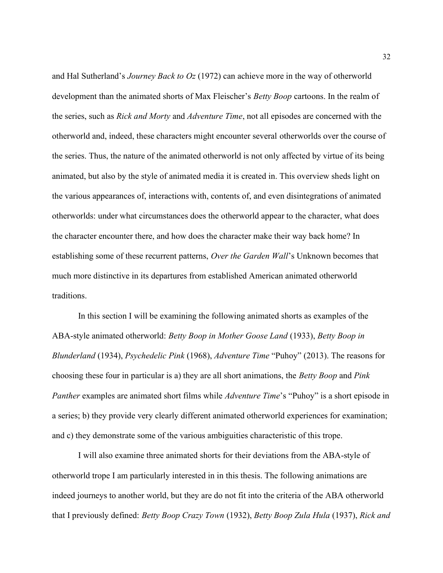and Hal Sutherland's *Journey Back to Oz* (1972) can achieve more in the way of otherworld development than the animated shorts of Max Fleischer's *Betty Boop* cartoons. In the realm of the series, such as *Rick and Morty* and *Adventure Time*, not all episodes are concerned with the otherworld and, indeed, these characters might encounter several otherworlds over the course of the series. Thus, the nature of the animated otherworld is not only affected by virtue of its being animated, but also by the style of animated media it is created in. This overview sheds light on the various appearances of, interactions with, contents of, and even disintegrations of animated otherworlds: under what circumstances does the otherworld appear to the character, what does the character encounter there, and how does the character make their way back home? In establishing some of these recurrent patterns, *Over the Garden Wall*'s Unknown becomes that much more distinctive in its departures from established American animated otherworld traditions.

In this section I will be examining the following animated shorts as examples of the ABA-style animated otherworld: Betty Boop in Mother Goose Land (1933), Betty Boop in Blunderland (1934), Psychedelic Pink (1968), Adventure Time "Puhoy" (2013). The reasons for choosing these four in particular is a) they are all short animations, the Betty Boop and Pink Panther examples are animated short films while Adventure Time's "Puhoy" is a short episode in a series; b) they provide very clearly different animated otherworld experiences for examination; and c) they demonstrate some of the various ambiguities characteristic of this trope.

 I will also examine three animated shorts for their deviations from the ABA-style of otherworld trope I am particularly interested in in this thesis. The following animations are indeed journeys to another world, but they are do not fit into the criteria of the ABA otherworld that I previously defined: Betty Boop Crazy Town (1932), Betty Boop Zula Hula (1937), Rick and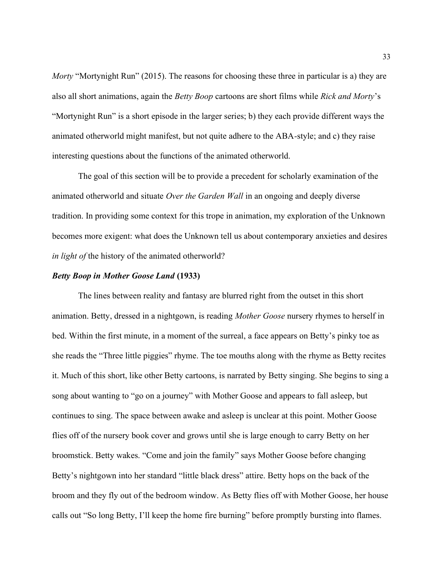Morty "Mortynight Run" (2015). The reasons for choosing these three in particular is a) they are also all short animations, again the Betty Boop cartoons are short films while Rick and Morty's "Mortynight Run" is a short episode in the larger series; b) they each provide different ways the animated otherworld might manifest, but not quite adhere to the ABA-style; and c) they raise interesting questions about the functions of the animated otherworld.

 The goal of this section will be to provide a precedent for scholarly examination of the animated otherworld and situate *Over the Garden Wall* in an ongoing and deeply diverse tradition. In providing some context for this trope in animation, my exploration of the Unknown becomes more exigent: what does the Unknown tell us about contemporary anxieties and desires in light of the history of the animated otherworld?

### Betty Boop in Mother Goose Land (1933)

 The lines between reality and fantasy are blurred right from the outset in this short animation. Betty, dressed in a nightgown, is reading *Mother Goose* nursery rhymes to herself in bed. Within the first minute, in a moment of the surreal, a face appears on Betty's pinky toe as she reads the "Three little piggies" rhyme. The toe mouths along with the rhyme as Betty recites it. Much of this short, like other Betty cartoons, is narrated by Betty singing. She begins to sing a song about wanting to "go on a journey" with Mother Goose and appears to fall asleep, but continues to sing. The space between awake and asleep is unclear at this point. Mother Goose flies off of the nursery book cover and grows until she is large enough to carry Betty on her broomstick. Betty wakes. "Come and join the family" says Mother Goose before changing Betty's nightgown into her standard "little black dress" attire. Betty hops on the back of the broom and they fly out of the bedroom window. As Betty flies off with Mother Goose, her house calls out "So long Betty, I'll keep the home fire burning" before promptly bursting into flames.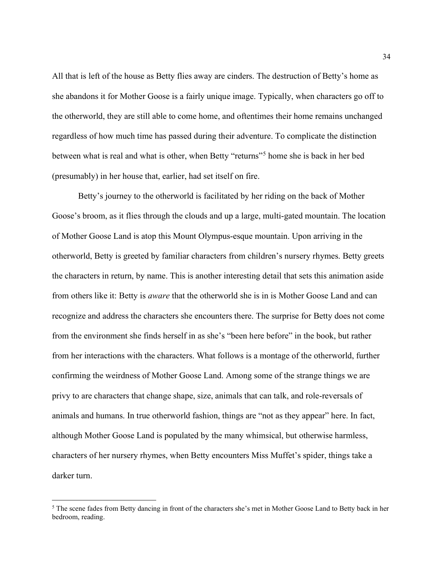All that is left of the house as Betty flies away are cinders. The destruction of Betty's home as she abandons it for Mother Goose is a fairly unique image. Typically, when characters go off to the otherworld, they are still able to come home, and oftentimes their home remains unchanged regardless of how much time has passed during their adventure. To complicate the distinction between what is real and what is other, when Betty "returns"<sup>5</sup> home she is back in her bed (presumably) in her house that, earlier, had set itself on fire.

 Betty's journey to the otherworld is facilitated by her riding on the back of Mother Goose's broom, as it flies through the clouds and up a large, multi-gated mountain. The location of Mother Goose Land is atop this Mount Olympus-esque mountain. Upon arriving in the otherworld, Betty is greeted by familiar characters from children's nursery rhymes. Betty greets the characters in return, by name. This is another interesting detail that sets this animation aside from others like it: Betty is *aware* that the otherworld she is in is Mother Goose Land and can recognize and address the characters she encounters there. The surprise for Betty does not come from the environment she finds herself in as she's "been here before" in the book, but rather from her interactions with the characters. What follows is a montage of the otherworld, further confirming the weirdness of Mother Goose Land. Among some of the strange things we are privy to are characters that change shape, size, animals that can talk, and role-reversals of animals and humans. In true otherworld fashion, things are "not as they appear" here. In fact, although Mother Goose Land is populated by the many whimsical, but otherwise harmless, characters of her nursery rhymes, when Betty encounters Miss Muffet's spider, things take a darker turn.

<sup>&</sup>lt;sup>5</sup> The scene fades from Betty dancing in front of the characters she's met in Mother Goose Land to Betty back in her bedroom, reading.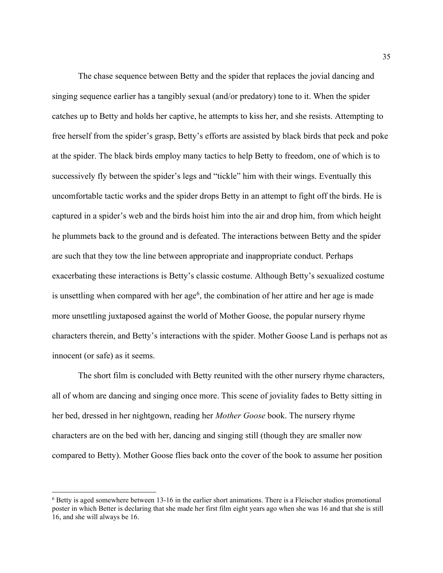The chase sequence between Betty and the spider that replaces the jovial dancing and singing sequence earlier has a tangibly sexual (and/or predatory) tone to it. When the spider catches up to Betty and holds her captive, he attempts to kiss her, and she resists. Attempting to free herself from the spider's grasp, Betty's efforts are assisted by black birds that peck and poke at the spider. The black birds employ many tactics to help Betty to freedom, one of which is to successively fly between the spider's legs and "tickle" him with their wings. Eventually this uncomfortable tactic works and the spider drops Betty in an attempt to fight off the birds. He is captured in a spider's web and the birds hoist him into the air and drop him, from which height he plummets back to the ground and is defeated. The interactions between Betty and the spider are such that they tow the line between appropriate and inappropriate conduct. Perhaps exacerbating these interactions is Betty's classic costume. Although Betty's sexualized costume is unsettling when compared with her age<sup>6</sup>, the combination of her attire and her age is made more unsettling juxtaposed against the world of Mother Goose, the popular nursery rhyme characters therein, and Betty's interactions with the spider. Mother Goose Land is perhaps not as innocent (or safe) as it seems.

 The short film is concluded with Betty reunited with the other nursery rhyme characters, all of whom are dancing and singing once more. This scene of joviality fades to Betty sitting in her bed, dressed in her nightgown, reading her Mother Goose book. The nursery rhyme characters are on the bed with her, dancing and singing still (though they are smaller now compared to Betty). Mother Goose flies back onto the cover of the book to assume her position

<sup>&</sup>lt;sup>6</sup> Betty is aged somewhere between 13-16 in the earlier short animations. There is a Fleischer studios promotional poster in which Better is declaring that she made her first film eight years ago when she was 16 and that she is still 16, and she will always be 16.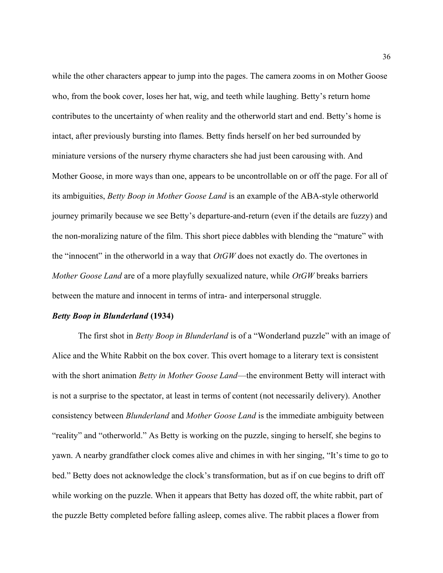while the other characters appear to jump into the pages. The camera zooms in on Mother Goose who, from the book cover, loses her hat, wig, and teeth while laughing. Betty's return home contributes to the uncertainty of when reality and the otherworld start and end. Betty's home is intact, after previously bursting into flames. Betty finds herself on her bed surrounded by miniature versions of the nursery rhyme characters she had just been carousing with. And Mother Goose, in more ways than one, appears to be uncontrollable on or off the page. For all of its ambiguities, Betty Boop in Mother Goose Land is an example of the ABA-style otherworld journey primarily because we see Betty's departure-and-return (even if the details are fuzzy) and the non-moralizing nature of the film. This short piece dabbles with blending the "mature" with the "innocent" in the otherworld in a way that  $OtGW$  does not exactly do. The overtones in Mother Goose Land are of a more playfully sexualized nature, while OtGW breaks barriers between the mature and innocent in terms of intra- and interpersonal struggle.

### Betty Boop in Blunderland (1934)

The first shot in *Betty Boop in Blunderland* is of a "Wonderland puzzle" with an image of Alice and the White Rabbit on the box cover. This overt homage to a literary text is consistent with the short animation *Betty in Mother Goose Land*—the environment Betty will interact with is not a surprise to the spectator, at least in terms of content (not necessarily delivery). Another consistency between Blunderland and Mother Goose Land is the immediate ambiguity between "reality" and "otherworld." As Betty is working on the puzzle, singing to herself, she begins to yawn. A nearby grandfather clock comes alive and chimes in with her singing, "It's time to go to bed." Betty does not acknowledge the clock's transformation, but as if on cue begins to drift off while working on the puzzle. When it appears that Betty has dozed off, the white rabbit, part of the puzzle Betty completed before falling asleep, comes alive. The rabbit places a flower from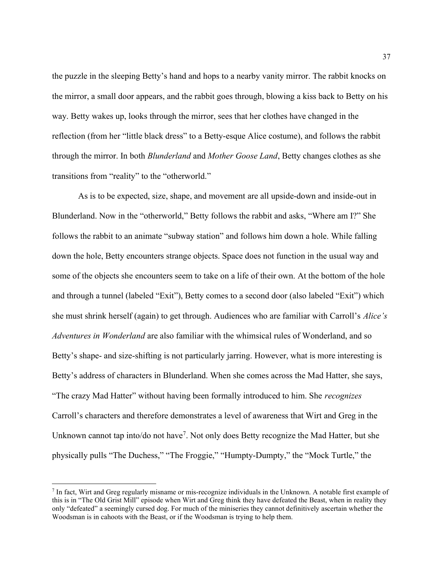the puzzle in the sleeping Betty's hand and hops to a nearby vanity mirror. The rabbit knocks on the mirror, a small door appears, and the rabbit goes through, blowing a kiss back to Betty on his way. Betty wakes up, looks through the mirror, sees that her clothes have changed in the reflection (from her "little black dress" to a Betty-esque Alice costume), and follows the rabbit through the mirror. In both Blunderland and Mother Goose Land, Betty changes clothes as she transitions from "reality" to the "otherworld."

 As is to be expected, size, shape, and movement are all upside-down and inside-out in Blunderland. Now in the "otherworld," Betty follows the rabbit and asks, "Where am I?" She follows the rabbit to an animate "subway station" and follows him down a hole. While falling down the hole, Betty encounters strange objects. Space does not function in the usual way and some of the objects she encounters seem to take on a life of their own. At the bottom of the hole and through a tunnel (labeled "Exit"), Betty comes to a second door (also labeled "Exit") which she must shrink herself (again) to get through. Audiences who are familiar with Carroll's Alice's Adventures in Wonderland are also familiar with the whimsical rules of Wonderland, and so Betty's shape- and size-shifting is not particularly jarring. However, what is more interesting is Betty's address of characters in Blunderland. When she comes across the Mad Hatter, she says, "The crazy Mad Hatter" without having been formally introduced to him. She *recognizes* Carroll's characters and therefore demonstrates a level of awareness that Wirt and Greg in the Unknown cannot tap into/do not have<sup>7</sup>. Not only does Betty recognize the Mad Hatter, but she physically pulls "The Duchess," "The Froggie," "Humpty-Dumpty," the "Mock Turtle," the

<sup>7</sup> In fact, Wirt and Greg regularly misname or mis-recognize individuals in the Unknown. A notable first example of this is in "The Old Grist Mill" episode when Wirt and Greg think they have defeated the Beast, when in reality they only "defeated" a seemingly cursed dog. For much of the miniseries they cannot definitively ascertain whether the Woodsman is in cahoots with the Beast, or if the Woodsman is trying to help them.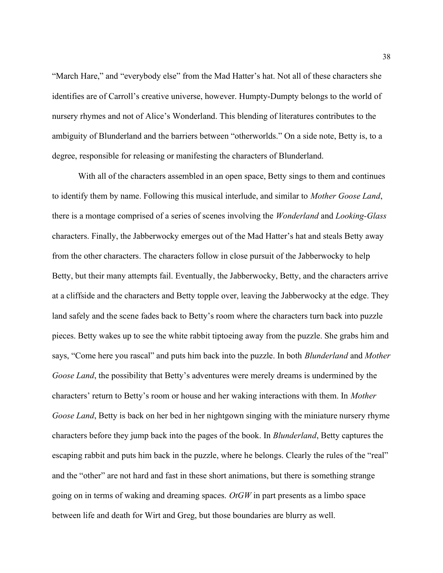"March Hare," and "everybody else" from the Mad Hatter's hat. Not all of these characters she identifies are of Carroll's creative universe, however. Humpty-Dumpty belongs to the world of nursery rhymes and not of Alice's Wonderland. This blending of literatures contributes to the ambiguity of Blunderland and the barriers between "otherworlds." On a side note, Betty is, to a degree, responsible for releasing or manifesting the characters of Blunderland.

 With all of the characters assembled in an open space, Betty sings to them and continues to identify them by name. Following this musical interlude, and similar to Mother Goose Land, there is a montage comprised of a series of scenes involving the *Wonderland* and *Looking-Glass* characters. Finally, the Jabberwocky emerges out of the Mad Hatter's hat and steals Betty away from the other characters. The characters follow in close pursuit of the Jabberwocky to help Betty, but their many attempts fail. Eventually, the Jabberwocky, Betty, and the characters arrive at a cliffside and the characters and Betty topple over, leaving the Jabberwocky at the edge. They land safely and the scene fades back to Betty's room where the characters turn back into puzzle pieces. Betty wakes up to see the white rabbit tiptoeing away from the puzzle. She grabs him and says, "Come here you rascal" and puts him back into the puzzle. In both *Blunderland* and *Mother* Goose Land, the possibility that Betty's adventures were merely dreams is undermined by the characters' return to Betty's room or house and her waking interactions with them. In Mother Goose Land, Betty is back on her bed in her nightgown singing with the miniature nursery rhyme characters before they jump back into the pages of the book. In Blunderland, Betty captures the escaping rabbit and puts him back in the puzzle, where he belongs. Clearly the rules of the "real" and the "other" are not hard and fast in these short animations, but there is something strange going on in terms of waking and dreaming spaces. OtGW in part presents as a limbo space between life and death for Wirt and Greg, but those boundaries are blurry as well.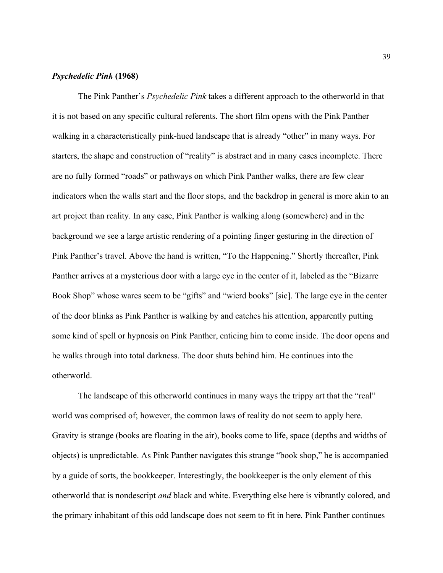# Psychedelic Pink (1968)

The Pink Panther's *Psychedelic Pink* takes a different approach to the otherworld in that it is not based on any specific cultural referents. The short film opens with the Pink Panther walking in a characteristically pink-hued landscape that is already "other" in many ways. For starters, the shape and construction of "reality" is abstract and in many cases incomplete. There are no fully formed "roads" or pathways on which Pink Panther walks, there are few clear indicators when the walls start and the floor stops, and the backdrop in general is more akin to an art project than reality. In any case, Pink Panther is walking along (somewhere) and in the background we see a large artistic rendering of a pointing finger gesturing in the direction of Pink Panther's travel. Above the hand is written, "To the Happening." Shortly thereafter, Pink Panther arrives at a mysterious door with a large eye in the center of it, labeled as the "Bizarre Book Shop" whose wares seem to be "gifts" and "wierd books" [sic]. The large eye in the center of the door blinks as Pink Panther is walking by and catches his attention, apparently putting some kind of spell or hypnosis on Pink Panther, enticing him to come inside. The door opens and he walks through into total darkness. The door shuts behind him. He continues into the otherworld.

 The landscape of this otherworld continues in many ways the trippy art that the "real" world was comprised of; however, the common laws of reality do not seem to apply here. Gravity is strange (books are floating in the air), books come to life, space (depths and widths of objects) is unpredictable. As Pink Panther navigates this strange "book shop," he is accompanied by a guide of sorts, the bookkeeper. Interestingly, the bookkeeper is the only element of this otherworld that is nondescript and black and white. Everything else here is vibrantly colored, and the primary inhabitant of this odd landscape does not seem to fit in here. Pink Panther continues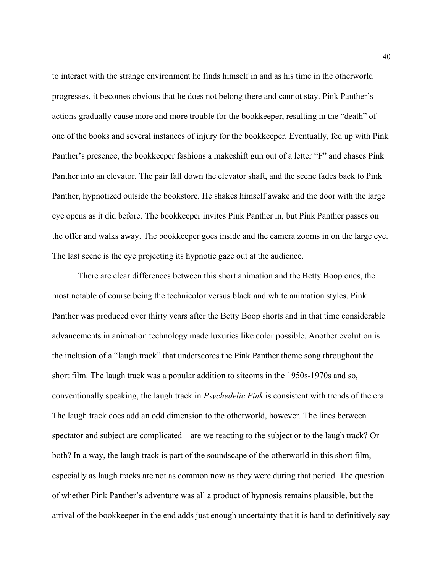to interact with the strange environment he finds himself in and as his time in the otherworld progresses, it becomes obvious that he does not belong there and cannot stay. Pink Panther's actions gradually cause more and more trouble for the bookkeeper, resulting in the "death" of one of the books and several instances of injury for the bookkeeper. Eventually, fed up with Pink Panther's presence, the bookkeeper fashions a makeshift gun out of a letter "F" and chases Pink Panther into an elevator. The pair fall down the elevator shaft, and the scene fades back to Pink Panther, hypnotized outside the bookstore. He shakes himself awake and the door with the large eye opens as it did before. The bookkeeper invites Pink Panther in, but Pink Panther passes on the offer and walks away. The bookkeeper goes inside and the camera zooms in on the large eye. The last scene is the eye projecting its hypnotic gaze out at the audience.

 There are clear differences between this short animation and the Betty Boop ones, the most notable of course being the technicolor versus black and white animation styles. Pink Panther was produced over thirty years after the Betty Boop shorts and in that time considerable advancements in animation technology made luxuries like color possible. Another evolution is the inclusion of a "laugh track" that underscores the Pink Panther theme song throughout the short film. The laugh track was a popular addition to sitcoms in the 1950s-1970s and so, conventionally speaking, the laugh track in Psychedelic Pink is consistent with trends of the era. The laugh track does add an odd dimension to the otherworld, however. The lines between spectator and subject are complicated—are we reacting to the subject or to the laugh track? Or both? In a way, the laugh track is part of the soundscape of the otherworld in this short film, especially as laugh tracks are not as common now as they were during that period. The question of whether Pink Panther's adventure was all a product of hypnosis remains plausible, but the arrival of the bookkeeper in the end adds just enough uncertainty that it is hard to definitively say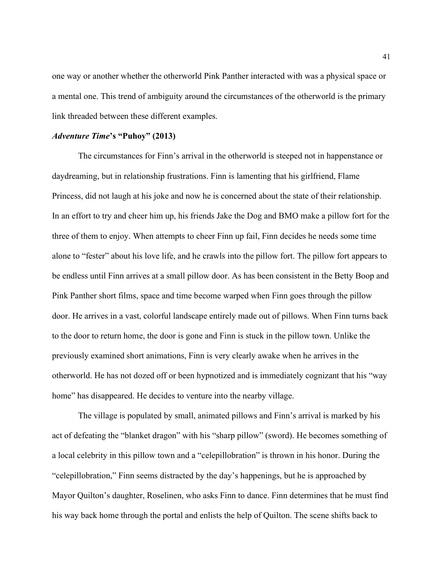one way or another whether the otherworld Pink Panther interacted with was a physical space or a mental one. This trend of ambiguity around the circumstances of the otherworld is the primary link threaded between these different examples.

## Adventure Time's "Puhoy" (2013)

 The circumstances for Finn's arrival in the otherworld is steeped not in happenstance or daydreaming, but in relationship frustrations. Finn is lamenting that his girlfriend, Flame Princess, did not laugh at his joke and now he is concerned about the state of their relationship. In an effort to try and cheer him up, his friends Jake the Dog and BMO make a pillow fort for the three of them to enjoy. When attempts to cheer Finn up fail, Finn decides he needs some time alone to "fester" about his love life, and he crawls into the pillow fort. The pillow fort appears to be endless until Finn arrives at a small pillow door. As has been consistent in the Betty Boop and Pink Panther short films, space and time become warped when Finn goes through the pillow door. He arrives in a vast, colorful landscape entirely made out of pillows. When Finn turns back to the door to return home, the door is gone and Finn is stuck in the pillow town. Unlike the previously examined short animations, Finn is very clearly awake when he arrives in the otherworld. He has not dozed off or been hypnotized and is immediately cognizant that his "way home" has disappeared. He decides to venture into the nearby village.

 The village is populated by small, animated pillows and Finn's arrival is marked by his act of defeating the "blanket dragon" with his "sharp pillow" (sword). He becomes something of a local celebrity in this pillow town and a "celepillobration" is thrown in his honor. During the "celepillobration," Finn seems distracted by the day's happenings, but he is approached by Mayor Quilton's daughter, Roselinen, who asks Finn to dance. Finn determines that he must find his way back home through the portal and enlists the help of Quilton. The scene shifts back to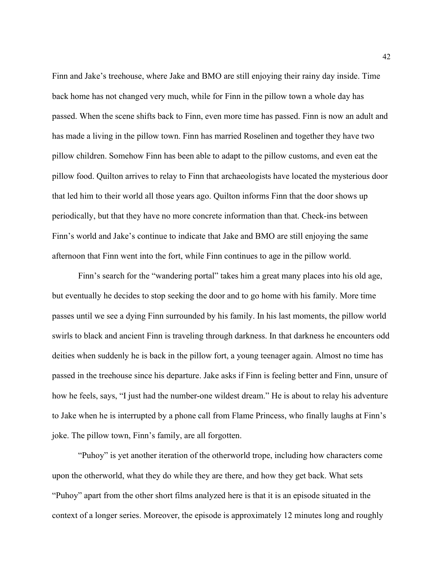Finn and Jake's treehouse, where Jake and BMO are still enjoying their rainy day inside. Time back home has not changed very much, while for Finn in the pillow town a whole day has passed. When the scene shifts back to Finn, even more time has passed. Finn is now an adult and has made a living in the pillow town. Finn has married Roselinen and together they have two pillow children. Somehow Finn has been able to adapt to the pillow customs, and even eat the pillow food. Quilton arrives to relay to Finn that archaeologists have located the mysterious door that led him to their world all those years ago. Quilton informs Finn that the door shows up periodically, but that they have no more concrete information than that. Check-ins between Finn's world and Jake's continue to indicate that Jake and BMO are still enjoying the same afternoon that Finn went into the fort, while Finn continues to age in the pillow world.

Finn's search for the "wandering portal" takes him a great many places into his old age, but eventually he decides to stop seeking the door and to go home with his family. More time passes until we see a dying Finn surrounded by his family. In his last moments, the pillow world swirls to black and ancient Finn is traveling through darkness. In that darkness he encounters odd deities when suddenly he is back in the pillow fort, a young teenager again. Almost no time has passed in the treehouse since his departure. Jake asks if Finn is feeling better and Finn, unsure of how he feels, says, "I just had the number-one wildest dream." He is about to relay his adventure to Jake when he is interrupted by a phone call from Flame Princess, who finally laughs at Finn's joke. The pillow town, Finn's family, are all forgotten.

"Puhoy" is yet another iteration of the otherworld trope, including how characters come upon the otherworld, what they do while they are there, and how they get back. What sets "Puhoy" apart from the other short films analyzed here is that it is an episode situated in the context of a longer series. Moreover, the episode is approximately 12 minutes long and roughly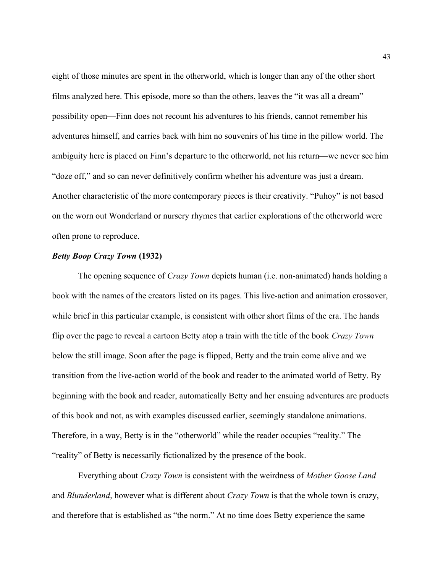eight of those minutes are spent in the otherworld, which is longer than any of the other short films analyzed here. This episode, more so than the others, leaves the "it was all a dream" possibility open—Finn does not recount his adventures to his friends, cannot remember his adventures himself, and carries back with him no souvenirs of his time in the pillow world. The ambiguity here is placed on Finn's departure to the otherworld, not his return—we never see him "doze off," and so can never definitively confirm whether his adventure was just a dream. Another characteristic of the more contemporary pieces is their creativity. "Puhoy" is not based on the worn out Wonderland or nursery rhymes that earlier explorations of the otherworld were often prone to reproduce.

# Betty Boop Crazy Town (1932)

The opening sequence of *Crazy Town* depicts human (i.e. non-animated) hands holding a book with the names of the creators listed on its pages. This live-action and animation crossover, while brief in this particular example, is consistent with other short films of the era. The hands flip over the page to reveal a cartoon Betty atop a train with the title of the book Crazy Town below the still image. Soon after the page is flipped, Betty and the train come alive and we transition from the live-action world of the book and reader to the animated world of Betty. By beginning with the book and reader, automatically Betty and her ensuing adventures are products of this book and not, as with examples discussed earlier, seemingly standalone animations. Therefore, in a way, Betty is in the "otherworld" while the reader occupies "reality." The "reality" of Betty is necessarily fictionalized by the presence of the book.

 Everything about Crazy Town is consistent with the weirdness of Mother Goose Land and Blunderland, however what is different about Crazy Town is that the whole town is crazy, and therefore that is established as "the norm." At no time does Betty experience the same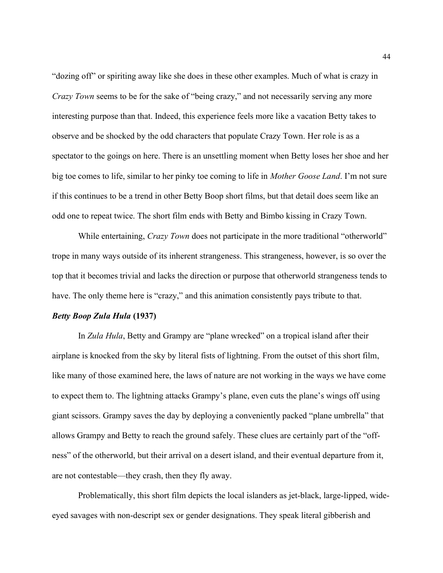"dozing off" or spiriting away like she does in these other examples. Much of what is crazy in Crazy Town seems to be for the sake of "being crazy," and not necessarily serving any more interesting purpose than that. Indeed, this experience feels more like a vacation Betty takes to observe and be shocked by the odd characters that populate Crazy Town. Her role is as a spectator to the goings on here. There is an unsettling moment when Betty loses her shoe and her big toe comes to life, similar to her pinky toe coming to life in *Mother Goose Land*. I'm not sure if this continues to be a trend in other Betty Boop short films, but that detail does seem like an odd one to repeat twice. The short film ends with Betty and Bimbo kissing in Crazy Town.

While entertaining, *Crazy Town* does not participate in the more traditional "otherworld" trope in many ways outside of its inherent strangeness. This strangeness, however, is so over the top that it becomes trivial and lacks the direction or purpose that otherworld strangeness tends to have. The only theme here is "crazy," and this animation consistently pays tribute to that.

# Betty Boop Zula Hula (1937)

In Zula Hula, Betty and Grampy are "plane wrecked" on a tropical island after their airplane is knocked from the sky by literal fists of lightning. From the outset of this short film, like many of those examined here, the laws of nature are not working in the ways we have come to expect them to. The lightning attacks Grampy's plane, even cuts the plane's wings off using giant scissors. Grampy saves the day by deploying a conveniently packed "plane umbrella" that allows Grampy and Betty to reach the ground safely. These clues are certainly part of the "offness" of the otherworld, but their arrival on a desert island, and their eventual departure from it, are not contestable—they crash, then they fly away.

Problematically, this short film depicts the local islanders as jet-black, large-lipped, wideeyed savages with non-descript sex or gender designations. They speak literal gibberish and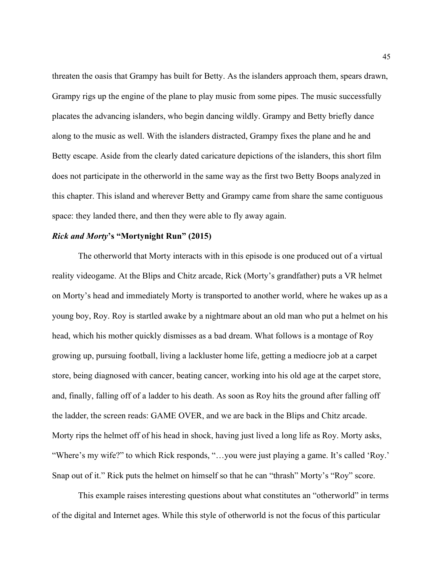threaten the oasis that Grampy has built for Betty. As the islanders approach them, spears drawn, Grampy rigs up the engine of the plane to play music from some pipes. The music successfully placates the advancing islanders, who begin dancing wildly. Grampy and Betty briefly dance along to the music as well. With the islanders distracted, Grampy fixes the plane and he and Betty escape. Aside from the clearly dated caricature depictions of the islanders, this short film does not participate in the otherworld in the same way as the first two Betty Boops analyzed in this chapter. This island and wherever Betty and Grampy came from share the same contiguous space: they landed there, and then they were able to fly away again.

# Rick and Morty's "Mortynight Run" (2015)

 The otherworld that Morty interacts with in this episode is one produced out of a virtual reality videogame. At the Blips and Chitz arcade, Rick (Morty's grandfather) puts a VR helmet on Morty's head and immediately Morty is transported to another world, where he wakes up as a young boy, Roy. Roy is startled awake by a nightmare about an old man who put a helmet on his head, which his mother quickly dismisses as a bad dream. What follows is a montage of Roy growing up, pursuing football, living a lackluster home life, getting a mediocre job at a carpet store, being diagnosed with cancer, beating cancer, working into his old age at the carpet store, and, finally, falling off of a ladder to his death. As soon as Roy hits the ground after falling off the ladder, the screen reads: GAME OVER, and we are back in the Blips and Chitz arcade. Morty rips the helmet off of his head in shock, having just lived a long life as Roy. Morty asks, "Where's my wife?" to which Rick responds, "…you were just playing a game. It's called 'Roy.' Snap out of it." Rick puts the helmet on himself so that he can "thrash" Morty's "Roy" score.

 This example raises interesting questions about what constitutes an "otherworld" in terms of the digital and Internet ages. While this style of otherworld is not the focus of this particular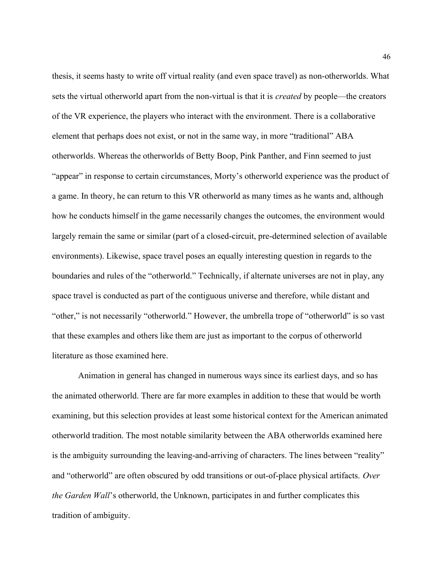thesis, it seems hasty to write off virtual reality (and even space travel) as non-otherworlds. What sets the virtual otherworld apart from the non-virtual is that it is created by people—the creators of the VR experience, the players who interact with the environment. There is a collaborative element that perhaps does not exist, or not in the same way, in more "traditional" ABA otherworlds. Whereas the otherworlds of Betty Boop, Pink Panther, and Finn seemed to just "appear" in response to certain circumstances, Morty's otherworld experience was the product of a game. In theory, he can return to this VR otherworld as many times as he wants and, although how he conducts himself in the game necessarily changes the outcomes, the environment would largely remain the same or similar (part of a closed-circuit, pre-determined selection of available environments). Likewise, space travel poses an equally interesting question in regards to the boundaries and rules of the "otherworld." Technically, if alternate universes are not in play, any space travel is conducted as part of the contiguous universe and therefore, while distant and "other," is not necessarily "otherworld." However, the umbrella trope of "otherworld" is so vast that these examples and others like them are just as important to the corpus of otherworld literature as those examined here.

 Animation in general has changed in numerous ways since its earliest days, and so has the animated otherworld. There are far more examples in addition to these that would be worth examining, but this selection provides at least some historical context for the American animated otherworld tradition. The most notable similarity between the ABA otherworlds examined here is the ambiguity surrounding the leaving-and-arriving of characters. The lines between "reality" and "otherworld" are often obscured by odd transitions or out-of-place physical artifacts. Over the Garden Wall's otherworld, the Unknown, participates in and further complicates this tradition of ambiguity.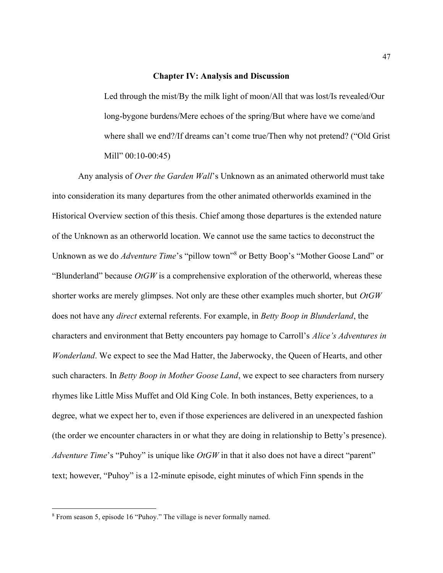#### Chapter IV: Analysis and Discussion

Led through the mist/By the milk light of moon/All that was lost/Is revealed/Our long-bygone burdens/Mere echoes of the spring/But where have we come/and where shall we end?/If dreams can't come true/Then why not pretend? ("Old Grist Mill" 00:10-00:45)

Any analysis of Over the Garden Wall's Unknown as an animated otherworld must take into consideration its many departures from the other animated otherworlds examined in the Historical Overview section of this thesis. Chief among those departures is the extended nature of the Unknown as an otherworld location. We cannot use the same tactics to deconstruct the Unknown as we do *Adventure Time'*s "pillow town"<sup>8</sup> or Betty Boop's "Mother Goose Land" or "Blunderland" because  $OtGW$  is a comprehensive exploration of the otherworld, whereas these shorter works are merely glimpses. Not only are these other examples much shorter, but OtGW does not have any *direct* external referents. For example, in *Betty Boop in Blunderland*, the characters and environment that Betty encounters pay homage to Carroll's Alice's Adventures in Wonderland. We expect to see the Mad Hatter, the Jaberwocky, the Queen of Hearts, and other such characters. In *Betty Boop in Mother Goose Land*, we expect to see characters from nursery rhymes like Little Miss Muffet and Old King Cole. In both instances, Betty experiences, to a degree, what we expect her to, even if those experiences are delivered in an unexpected fashion (the order we encounter characters in or what they are doing in relationship to Betty's presence). Adventure Time's "Puhoy" is unique like  $O t G W$  in that it also does not have a direct "parent" text; however, "Puhoy" is a 12-minute episode, eight minutes of which Finn spends in the

<sup>8</sup> From season 5, episode 16 "Puhoy." The village is never formally named.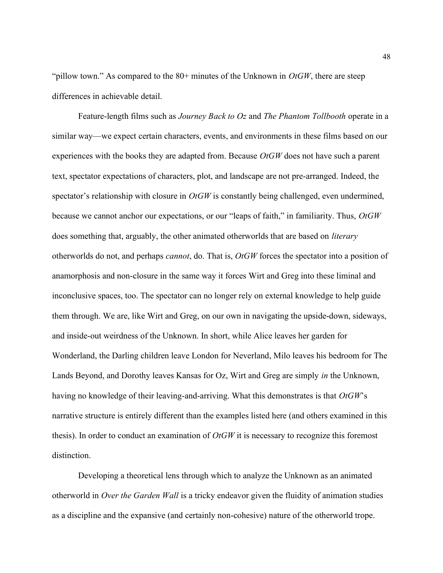"pillow town." As compared to the  $80+$  minutes of the Unknown in  $OtGW$ , there are steep differences in achievable detail.

Feature-length films such as *Journey Back to Oz* and *The Phantom Tollbooth* operate in a similar way—we expect certain characters, events, and environments in these films based on our experiences with the books they are adapted from. Because  $OtGW$  does not have such a parent text, spectator expectations of characters, plot, and landscape are not pre-arranged. Indeed, the spectator's relationship with closure in  $OtGW$  is constantly being challenged, even undermined, because we cannot anchor our expectations, or our "leaps of faith," in familiarity. Thus, OtGW does something that, arguably, the other animated otherworlds that are based on *literary* otherworlds do not, and perhaps cannot, do. That is, OtGW forces the spectator into a position of anamorphosis and non-closure in the same way it forces Wirt and Greg into these liminal and inconclusive spaces, too. The spectator can no longer rely on external knowledge to help guide them through. We are, like Wirt and Greg, on our own in navigating the upside-down, sideways, and inside-out weirdness of the Unknown. In short, while Alice leaves her garden for Wonderland, the Darling children leave London for Neverland, Milo leaves his bedroom for The Lands Beyond, and Dorothy leaves Kansas for Oz, Wirt and Greg are simply in the Unknown, having no knowledge of their leaving-and-arriving. What this demonstrates is that  $OtGW$ 's narrative structure is entirely different than the examples listed here (and others examined in this thesis). In order to conduct an examination of  $OtGW$  it is necessary to recognize this foremost distinction.

Developing a theoretical lens through which to analyze the Unknown as an animated otherworld in Over the Garden Wall is a tricky endeavor given the fluidity of animation studies as a discipline and the expansive (and certainly non-cohesive) nature of the otherworld trope.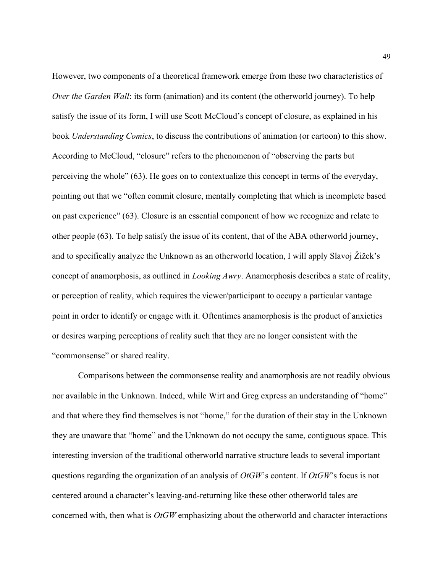However, two components of a theoretical framework emerge from these two characteristics of Over the Garden Wall: its form (animation) and its content (the otherworld journey). To help satisfy the issue of its form, I will use Scott McCloud's concept of closure, as explained in his book Understanding Comics, to discuss the contributions of animation (or cartoon) to this show. According to McCloud, "closure" refers to the phenomenon of "observing the parts but perceiving the whole" (63). He goes on to contextualize this concept in terms of the everyday, pointing out that we "often commit closure, mentally completing that which is incomplete based on past experience" (63). Closure is an essential component of how we recognize and relate to other people (63). To help satisfy the issue of its content, that of the ABA otherworld journey, and to specifically analyze the Unknown as an otherworld location, I will apply Slavoj Žižek's concept of anamorphosis, as outlined in Looking Awry. Anamorphosis describes a state of reality, or perception of reality, which requires the viewer/participant to occupy a particular vantage point in order to identify or engage with it. Oftentimes anamorphosis is the product of anxieties or desires warping perceptions of reality such that they are no longer consistent with the "commonsense" or shared reality.

Comparisons between the commonsense reality and anamorphosis are not readily obvious nor available in the Unknown. Indeed, while Wirt and Greg express an understanding of "home" and that where they find themselves is not "home," for the duration of their stay in the Unknown they are unaware that "home" and the Unknown do not occupy the same, contiguous space. This interesting inversion of the traditional otherworld narrative structure leads to several important questions regarding the organization of an analysis of  $OtGW$ 's content. If  $OtGW$ 's focus is not centered around a character's leaving-and-returning like these other otherworld tales are concerned with, then what is  $OtGW$  emphasizing about the otherworld and character interactions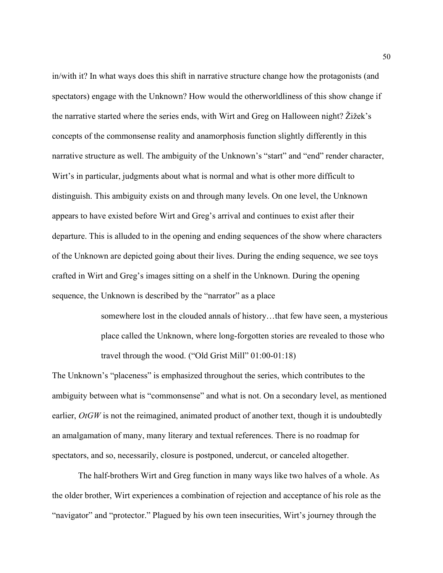in/with it? In what ways does this shift in narrative structure change how the protagonists (and spectators) engage with the Unknown? How would the otherworldliness of this show change if the narrative started where the series ends, with Wirt and Greg on Halloween night? Žižek's concepts of the commonsense reality and anamorphosis function slightly differently in this narrative structure as well. The ambiguity of the Unknown's "start" and "end" render character, Wirt's in particular, judgments about what is normal and what is other more difficult to distinguish. This ambiguity exists on and through many levels. On one level, the Unknown appears to have existed before Wirt and Greg's arrival and continues to exist after their departure. This is alluded to in the opening and ending sequences of the show where characters of the Unknown are depicted going about their lives. During the ending sequence, we see toys crafted in Wirt and Greg's images sitting on a shelf in the Unknown. During the opening sequence, the Unknown is described by the "narrator" as a place

> somewhere lost in the clouded annals of history…that few have seen, a mysterious place called the Unknown, where long-forgotten stories are revealed to those who travel through the wood. ("Old Grist Mill" 01:00-01:18)

The Unknown's "placeness" is emphasized throughout the series, which contributes to the ambiguity between what is "commonsense" and what is not. On a secondary level, as mentioned earlier,  $OtGW$  is not the reimagined, animated product of another text, though it is undoubtedly an amalgamation of many, many literary and textual references. There is no roadmap for spectators, and so, necessarily, closure is postponed, undercut, or canceled altogether.

The half-brothers Wirt and Greg function in many ways like two halves of a whole. As the older brother, Wirt experiences a combination of rejection and acceptance of his role as the "navigator" and "protector." Plagued by his own teen insecurities, Wirt's journey through the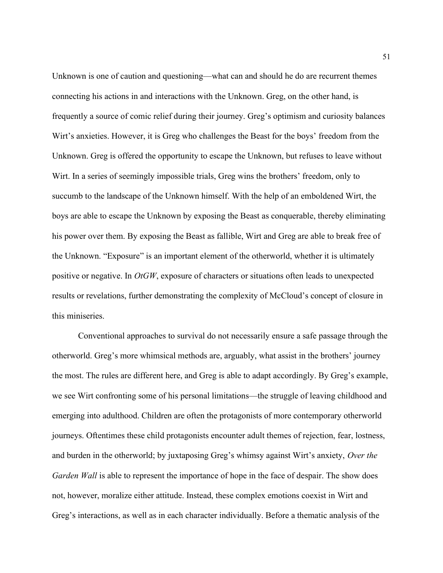Unknown is one of caution and questioning—what can and should he do are recurrent themes connecting his actions in and interactions with the Unknown. Greg, on the other hand, is frequently a source of comic relief during their journey. Greg's optimism and curiosity balances Wirt's anxieties. However, it is Greg who challenges the Beast for the boys' freedom from the Unknown. Greg is offered the opportunity to escape the Unknown, but refuses to leave without Wirt. In a series of seemingly impossible trials, Greg wins the brothers' freedom, only to succumb to the landscape of the Unknown himself. With the help of an emboldened Wirt, the boys are able to escape the Unknown by exposing the Beast as conquerable, thereby eliminating his power over them. By exposing the Beast as fallible, Wirt and Greg are able to break free of the Unknown. "Exposure" is an important element of the otherworld, whether it is ultimately positive or negative. In  $OtGW$ , exposure of characters or situations often leads to unexpected results or revelations, further demonstrating the complexity of McCloud's concept of closure in this miniseries.

Conventional approaches to survival do not necessarily ensure a safe passage through the otherworld. Greg's more whimsical methods are, arguably, what assist in the brothers' journey the most. The rules are different here, and Greg is able to adapt accordingly. By Greg's example, we see Wirt confronting some of his personal limitations—the struggle of leaving childhood and emerging into adulthood. Children are often the protagonists of more contemporary otherworld journeys. Oftentimes these child protagonists encounter adult themes of rejection, fear, lostness, and burden in the otherworld; by juxtaposing Greg's whimsy against Wirt's anxiety, Over the Garden Wall is able to represent the importance of hope in the face of despair. The show does not, however, moralize either attitude. Instead, these complex emotions coexist in Wirt and Greg's interactions, as well as in each character individually. Before a thematic analysis of the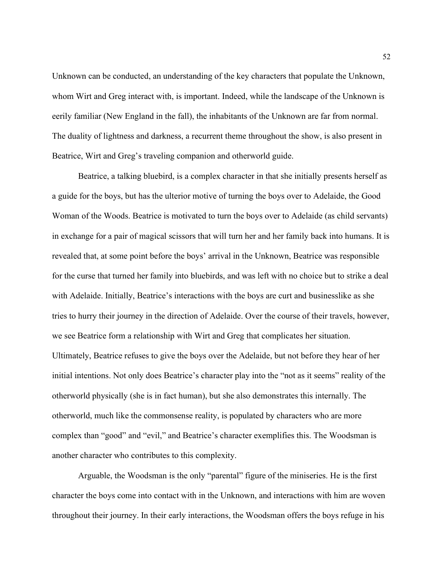Unknown can be conducted, an understanding of the key characters that populate the Unknown, whom Wirt and Greg interact with, is important. Indeed, while the landscape of the Unknown is eerily familiar (New England in the fall), the inhabitants of the Unknown are far from normal. The duality of lightness and darkness, a recurrent theme throughout the show, is also present in Beatrice, Wirt and Greg's traveling companion and otherworld guide.

Beatrice, a talking bluebird, is a complex character in that she initially presents herself as a guide for the boys, but has the ulterior motive of turning the boys over to Adelaide, the Good Woman of the Woods. Beatrice is motivated to turn the boys over to Adelaide (as child servants) in exchange for a pair of magical scissors that will turn her and her family back into humans. It is revealed that, at some point before the boys' arrival in the Unknown, Beatrice was responsible for the curse that turned her family into bluebirds, and was left with no choice but to strike a deal with Adelaide. Initially, Beatrice's interactions with the boys are curt and businesslike as she tries to hurry their journey in the direction of Adelaide. Over the course of their travels, however, we see Beatrice form a relationship with Wirt and Greg that complicates her situation. Ultimately, Beatrice refuses to give the boys over the Adelaide, but not before they hear of her initial intentions. Not only does Beatrice's character play into the "not as it seems" reality of the otherworld physically (she is in fact human), but she also demonstrates this internally. The otherworld, much like the commonsense reality, is populated by characters who are more complex than "good" and "evil," and Beatrice's character exemplifies this. The Woodsman is another character who contributes to this complexity.

Arguable, the Woodsman is the only "parental" figure of the miniseries. He is the first character the boys come into contact with in the Unknown, and interactions with him are woven throughout their journey. In their early interactions, the Woodsman offers the boys refuge in his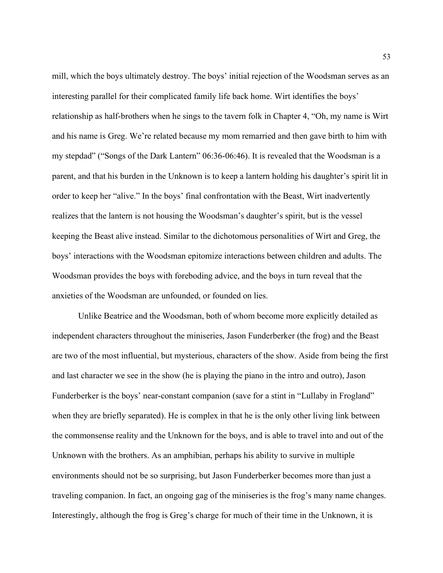mill, which the boys ultimately destroy. The boys' initial rejection of the Woodsman serves as an interesting parallel for their complicated family life back home. Wirt identifies the boys' relationship as half-brothers when he sings to the tavern folk in Chapter 4, "Oh, my name is Wirt and his name is Greg. We're related because my mom remarried and then gave birth to him with my stepdad" ("Songs of the Dark Lantern" 06:36-06:46). It is revealed that the Woodsman is a parent, and that his burden in the Unknown is to keep a lantern holding his daughter's spirit lit in order to keep her "alive." In the boys' final confrontation with the Beast, Wirt inadvertently realizes that the lantern is not housing the Woodsman's daughter's spirit, but is the vessel keeping the Beast alive instead. Similar to the dichotomous personalities of Wirt and Greg, the boys' interactions with the Woodsman epitomize interactions between children and adults. The Woodsman provides the boys with foreboding advice, and the boys in turn reveal that the anxieties of the Woodsman are unfounded, or founded on lies.

Unlike Beatrice and the Woodsman, both of whom become more explicitly detailed as independent characters throughout the miniseries, Jason Funderberker (the frog) and the Beast are two of the most influential, but mysterious, characters of the show. Aside from being the first and last character we see in the show (he is playing the piano in the intro and outro), Jason Funderberker is the boys' near-constant companion (save for a stint in "Lullaby in Frogland" when they are briefly separated). He is complex in that he is the only other living link between the commonsense reality and the Unknown for the boys, and is able to travel into and out of the Unknown with the brothers. As an amphibian, perhaps his ability to survive in multiple environments should not be so surprising, but Jason Funderberker becomes more than just a traveling companion. In fact, an ongoing gag of the miniseries is the frog's many name changes. Interestingly, although the frog is Greg's charge for much of their time in the Unknown, it is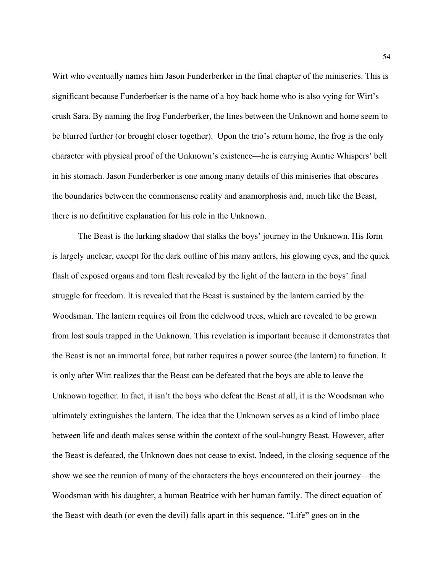Wirt who eventually names him Jason Funderberker in the final chapter of the miniseries. This is significant because Funderberker is the name of a boy back home who is also vying for Wirt's crush Sara. By naming the frog Funderberker, the lines between the Unknown and home seem to be blurred further (or brought closer together). Upon the trio's return home, the frog is the only character with physical proof of the Unknown's existence—he is carrying Auntie Whispers' bell in his stomach. Jason Funderberker is one among many details of this miniseries that obscures the boundaries between the commonsense reality and anamorphosis and, much like the Beast, there is no definitive explanation for his role in the Unknown.

The Beast is the lurking shadow that stalks the boys' journey in the Unknown. His form is largely unclear, except for the dark outline of his many antlers, his glowing eyes, and the quick flash of exposed organs and torn flesh revealed by the light of the lantern in the boys' final struggle for freedom. It is revealed that the Beast is sustained by the lantern carried by the Woodsman. The lantern requires oil from the edelwood trees, which are revealed to be grown from lost souls trapped in the Unknown. This revelation is important because it demonstrates that the Beast is not an immortal force, but rather requires a power source (the lantern) to function. It is only after Wirt realizes that the Beast can be defeated that the boys are able to leave the Unknown together. In fact, it isn't the boys who defeat the Beast at all, it is the Woodsman who ultimately extinguishes the lantern. The idea that the Unknown serves as a kind of limbo place between life and death makes sense within the context of the soul-hungry Beast. However, after the Beast is defeated, the Unknown does not cease to exist. Indeed, in the closing sequence of the show we see the reunion of many of the characters the boys encountered on their journey—the Woodsman with his daughter, a human Beatrice with her human family. The direct equation of the Beast with death (or even the devil) falls apart in this sequence. "Life" goes on in the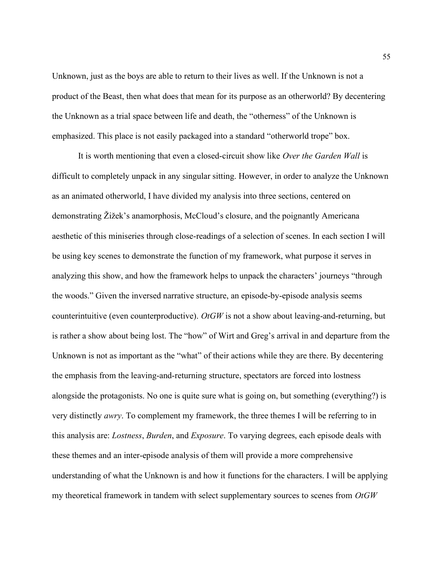Unknown, just as the boys are able to return to their lives as well. If the Unknown is not a product of the Beast, then what does that mean for its purpose as an otherworld? By decentering the Unknown as a trial space between life and death, the "otherness" of the Unknown is emphasized. This place is not easily packaged into a standard "otherworld trope" box.

It is worth mentioning that even a closed-circuit show like Over the Garden Wall is difficult to completely unpack in any singular sitting. However, in order to analyze the Unknown as an animated otherworld, I have divided my analysis into three sections, centered on demonstrating Žižek's anamorphosis, McCloud's closure, and the poignantly Americana aesthetic of this miniseries through close-readings of a selection of scenes. In each section I will be using key scenes to demonstrate the function of my framework, what purpose it serves in analyzing this show, and how the framework helps to unpack the characters' journeys "through the woods." Given the inversed narrative structure, an episode-by-episode analysis seems counterintuitive (even counterproductive). Ot  $GW$  is not a show about leaving-and-returning, but is rather a show about being lost. The "how" of Wirt and Greg's arrival in and departure from the Unknown is not as important as the "what" of their actions while they are there. By decentering the emphasis from the leaving-and-returning structure, spectators are forced into lostness alongside the protagonists. No one is quite sure what is going on, but something (everything?) is very distinctly awry. To complement my framework, the three themes I will be referring to in this analysis are: Lostness, Burden, and Exposure. To varying degrees, each episode deals with these themes and an inter-episode analysis of them will provide a more comprehensive understanding of what the Unknown is and how it functions for the characters. I will be applying my theoretical framework in tandem with select supplementary sources to scenes from  $OtGW$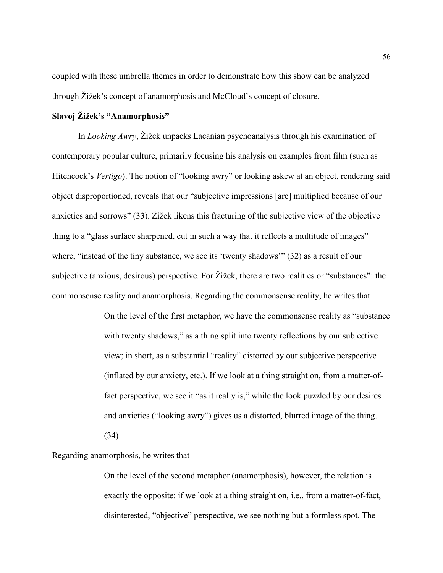coupled with these umbrella themes in order to demonstrate how this show can be analyzed through Žižek's concept of anamorphosis and McCloud's concept of closure.

# Slavoj Žižek's "Anamorphosis"

In *Looking Awry*, Žižek unpacks Lacanian psychoanalysis through his examination of contemporary popular culture, primarily focusing his analysis on examples from film (such as Hitchcock's Vertigo). The notion of "looking awry" or looking askew at an object, rendering said object disproportioned, reveals that our "subjective impressions [are] multiplied because of our anxieties and sorrows" (33). Žižek likens this fracturing of the subjective view of the objective thing to a "glass surface sharpened, cut in such a way that it reflects a multitude of images" where, "instead of the tiny substance, we see its 'twenty shadows'" (32) as a result of our subjective (anxious, desirous) perspective. For Žižek, there are two realities or "substances": the commonsense reality and anamorphosis. Regarding the commonsense reality, he writes that

> On the level of the first metaphor, we have the commonsense reality as "substance with twenty shadows," as a thing split into twenty reflections by our subjective view; in short, as a substantial "reality" distorted by our subjective perspective (inflated by our anxiety, etc.). If we look at a thing straight on, from a matter-offact perspective, we see it "as it really is," while the look puzzled by our desires and anxieties ("looking awry") gives us a distorted, blurred image of the thing. (34)

# Regarding anamorphosis, he writes that

On the level of the second metaphor (anamorphosis), however, the relation is exactly the opposite: if we look at a thing straight on, i.e., from a matter-of-fact, disinterested, "objective" perspective, we see nothing but a formless spot. The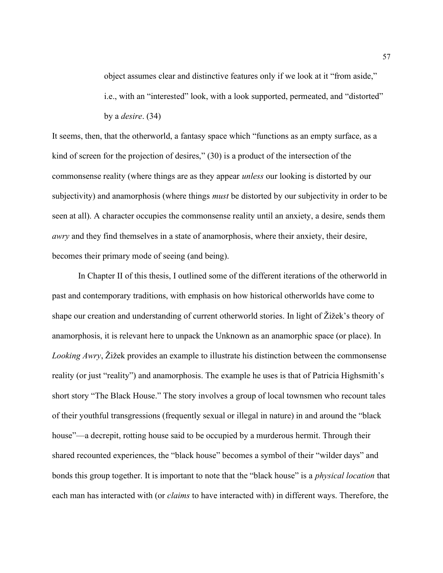object assumes clear and distinctive features only if we look at it "from aside," i.e., with an "interested" look, with a look supported, permeated, and "distorted" by a desire. (34)

It seems, then, that the otherworld, a fantasy space which "functions as an empty surface, as a kind of screen for the projection of desires," (30) is a product of the intersection of the commonsense reality (where things are as they appear unless our looking is distorted by our subjectivity) and anamorphosis (where things must be distorted by our subjectivity in order to be seen at all). A character occupies the commonsense reality until an anxiety, a desire, sends them awry and they find themselves in a state of anamorphosis, where their anxiety, their desire, becomes their primary mode of seeing (and being).

In Chapter II of this thesis, I outlined some of the different iterations of the otherworld in past and contemporary traditions, with emphasis on how historical otherworlds have come to shape our creation and understanding of current otherworld stories. In light of Žižek's theory of anamorphosis, it is relevant here to unpack the Unknown as an anamorphic space (or place). In Looking Awry, Zižek provides an example to illustrate his distinction between the commonsense reality (or just "reality") and anamorphosis. The example he uses is that of Patricia Highsmith's short story "The Black House." The story involves a group of local townsmen who recount tales of their youthful transgressions (frequently sexual or illegal in nature) in and around the "black house"—a decrepit, rotting house said to be occupied by a murderous hermit. Through their shared recounted experiences, the "black house" becomes a symbol of their "wilder days" and bonds this group together. It is important to note that the "black house" is a physical location that each man has interacted with (or claims to have interacted with) in different ways. Therefore, the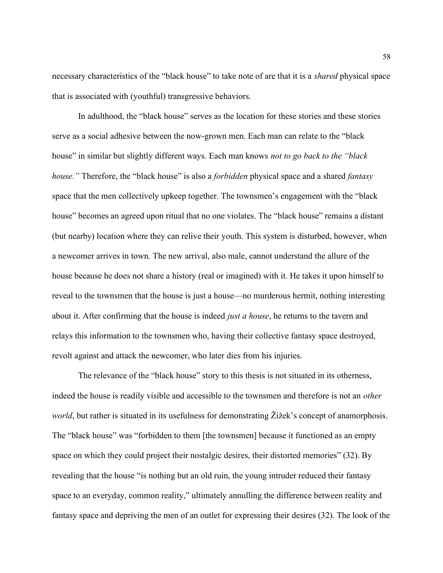necessary characteristics of the "black house" to take note of are that it is a *shared* physical space that is associated with (youthful) transgressive behaviors.

In adulthood, the "black house" serves as the location for these stories and these stories serve as a social adhesive between the now-grown men. Each man can relate to the "black house" in similar but slightly different ways. Each man knows not to go back to the "black" house." Therefore, the "black house" is also a *forbidden* physical space and a shared *fantasy* space that the men collectively upkeep together. The townsmen's engagement with the "black house" becomes an agreed upon ritual that no one violates. The "black house" remains a distant (but nearby) location where they can relive their youth. This system is disturbed, however, when a newcomer arrives in town. The new arrival, also male, cannot understand the allure of the house because he does not share a history (real or imagined) with it. He takes it upon himself to reveal to the townsmen that the house is just a house—no murderous hermit, nothing interesting about it. After confirming that the house is indeed *just a house*, he returns to the tavern and relays this information to the townsmen who, having their collective fantasy space destroyed, revolt against and attack the newcomer, who later dies from his injuries.

 The relevance of the "black house" story to this thesis is not situated in its otherness, indeed the house is readily visible and accessible to the townsmen and therefore is not an *other* world, but rather is situated in its usefulness for demonstrating Žižek's concept of anamorphosis. The "black house" was "forbidden to them [the townsmen] because it functioned as an empty space on which they could project their nostalgic desires, their distorted memories" (32). By revealing that the house "is nothing but an old ruin, the young intruder reduced their fantasy space to an everyday, common reality," ultimately annulling the difference between reality and fantasy space and depriving the men of an outlet for expressing their desires (32). The look of the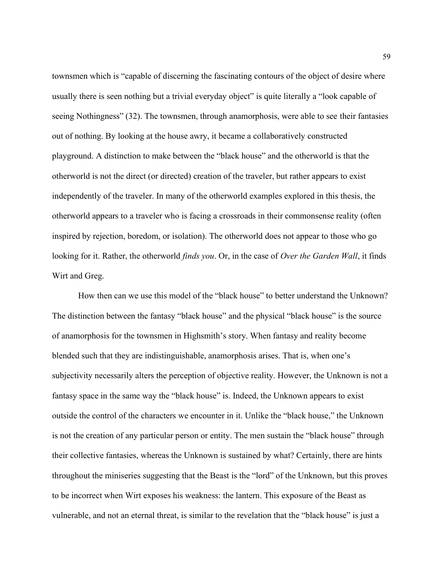townsmen which is "capable of discerning the fascinating contours of the object of desire where usually there is seen nothing but a trivial everyday object" is quite literally a "look capable of seeing Nothingness" (32). The townsmen, through anamorphosis, were able to see their fantasies out of nothing. By looking at the house awry, it became a collaboratively constructed playground. A distinction to make between the "black house" and the otherworld is that the otherworld is not the direct (or directed) creation of the traveler, but rather appears to exist independently of the traveler. In many of the otherworld examples explored in this thesis, the otherworld appears to a traveler who is facing a crossroads in their commonsense reality (often inspired by rejection, boredom, or isolation). The otherworld does not appear to those who go looking for it. Rather, the otherworld *finds you*. Or, in the case of *Over the Garden Wall*, it finds Wirt and Greg.

 How then can we use this model of the "black house" to better understand the Unknown? The distinction between the fantasy "black house" and the physical "black house" is the source of anamorphosis for the townsmen in Highsmith's story. When fantasy and reality become blended such that they are indistinguishable, anamorphosis arises. That is, when one's subjectivity necessarily alters the perception of objective reality. However, the Unknown is not a fantasy space in the same way the "black house" is. Indeed, the Unknown appears to exist outside the control of the characters we encounter in it. Unlike the "black house," the Unknown is not the creation of any particular person or entity. The men sustain the "black house" through their collective fantasies, whereas the Unknown is sustained by what? Certainly, there are hints throughout the miniseries suggesting that the Beast is the "lord" of the Unknown, but this proves to be incorrect when Wirt exposes his weakness: the lantern. This exposure of the Beast as vulnerable, and not an eternal threat, is similar to the revelation that the "black house" is just a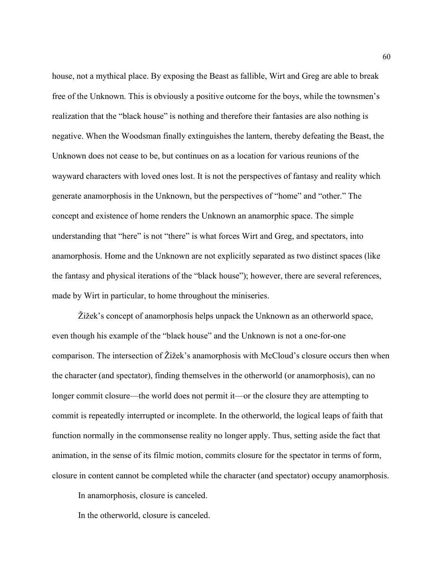house, not a mythical place. By exposing the Beast as fallible, Wirt and Greg are able to break free of the Unknown. This is obviously a positive outcome for the boys, while the townsmen's realization that the "black house" is nothing and therefore their fantasies are also nothing is negative. When the Woodsman finally extinguishes the lantern, thereby defeating the Beast, the Unknown does not cease to be, but continues on as a location for various reunions of the wayward characters with loved ones lost. It is not the perspectives of fantasy and reality which generate anamorphosis in the Unknown, but the perspectives of "home" and "other." The concept and existence of home renders the Unknown an anamorphic space. The simple understanding that "here" is not "there" is what forces Wirt and Greg, and spectators, into anamorphosis. Home and the Unknown are not explicitly separated as two distinct spaces (like the fantasy and physical iterations of the "black house"); however, there are several references, made by Wirt in particular, to home throughout the miniseries.

Žižek's concept of anamorphosis helps unpack the Unknown as an otherworld space, even though his example of the "black house" and the Unknown is not a one-for-one comparison. The intersection of Žižek's anamorphosis with McCloud's closure occurs then when the character (and spectator), finding themselves in the otherworld (or anamorphosis), can no longer commit closure—the world does not permit it—or the closure they are attempting to commit is repeatedly interrupted or incomplete. In the otherworld, the logical leaps of faith that function normally in the commonsense reality no longer apply. Thus, setting aside the fact that animation, in the sense of its filmic motion, commits closure for the spectator in terms of form, closure in content cannot be completed while the character (and spectator) occupy anamorphosis.

In anamorphosis, closure is canceled.

In the otherworld, closure is canceled.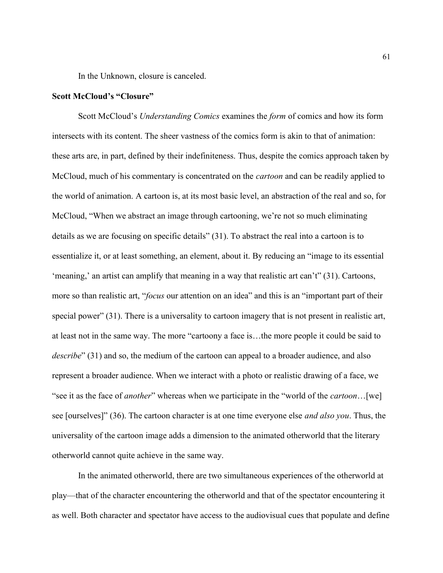In the Unknown, closure is canceled.

# Scott McCloud's "Closure"

Scott McCloud's Understanding Comics examines the form of comics and how its form intersects with its content. The sheer vastness of the comics form is akin to that of animation: these arts are, in part, defined by their indefiniteness. Thus, despite the comics approach taken by McCloud, much of his commentary is concentrated on the *cartoon* and can be readily applied to the world of animation. A cartoon is, at its most basic level, an abstraction of the real and so, for McCloud, "When we abstract an image through cartooning, we're not so much eliminating details as we are focusing on specific details" (31). To abstract the real into a cartoon is to essentialize it, or at least something, an element, about it. By reducing an "image to its essential 'meaning,' an artist can amplify that meaning in a way that realistic art can't" (31). Cartoons, more so than realistic art, "*focus* our attention on an idea" and this is an "important part of their special power" (31). There is a universality to cartoon imagery that is not present in realistic art, at least not in the same way. The more "cartoony a face is…the more people it could be said to describe" (31) and so, the medium of the cartoon can appeal to a broader audience, and also represent a broader audience. When we interact with a photo or realistic drawing of a face, we "see it as the face of *another*" whereas when we participate in the "world of the *cartoon*...[we] see [ourselves]" (36). The cartoon character is at one time everyone else *and also you*. Thus, the universality of the cartoon image adds a dimension to the animated otherworld that the literary otherworld cannot quite achieve in the same way.

 In the animated otherworld, there are two simultaneous experiences of the otherworld at play—that of the character encountering the otherworld and that of the spectator encountering it as well. Both character and spectator have access to the audiovisual cues that populate and define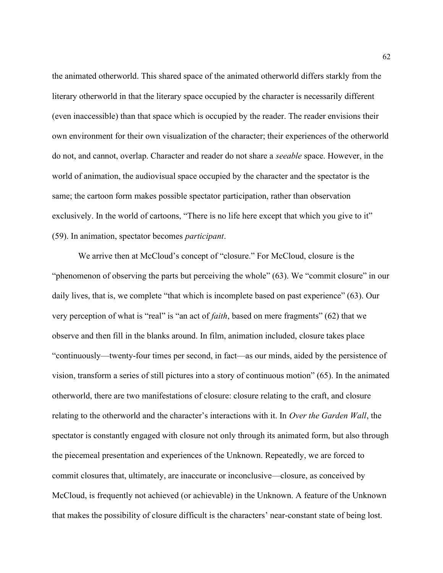the animated otherworld. This shared space of the animated otherworld differs starkly from the literary otherworld in that the literary space occupied by the character is necessarily different (even inaccessible) than that space which is occupied by the reader. The reader envisions their own environment for their own visualization of the character; their experiences of the otherworld do not, and cannot, overlap. Character and reader do not share a seeable space. However, in the world of animation, the audiovisual space occupied by the character and the spectator is the same; the cartoon form makes possible spectator participation, rather than observation exclusively. In the world of cartoons, "There is no life here except that which you give to it" (59). In animation, spectator becomes participant.

 We arrive then at McCloud's concept of "closure." For McCloud, closure is the "phenomenon of observing the parts but perceiving the whole" (63). We "commit closure" in our daily lives, that is, we complete "that which is incomplete based on past experience" (63). Our very perception of what is "real" is "an act of *faith*, based on mere fragments" (62) that we observe and then fill in the blanks around. In film, animation included, closure takes place "continuously—twenty-four times per second, in fact—as our minds, aided by the persistence of vision, transform a series of still pictures into a story of continuous motion" (65). In the animated otherworld, there are two manifestations of closure: closure relating to the craft, and closure relating to the otherworld and the character's interactions with it. In Over the Garden Wall, the spectator is constantly engaged with closure not only through its animated form, but also through the piecemeal presentation and experiences of the Unknown. Repeatedly, we are forced to commit closures that, ultimately, are inaccurate or inconclusive—closure, as conceived by McCloud, is frequently not achieved (or achievable) in the Unknown. A feature of the Unknown that makes the possibility of closure difficult is the characters' near-constant state of being lost.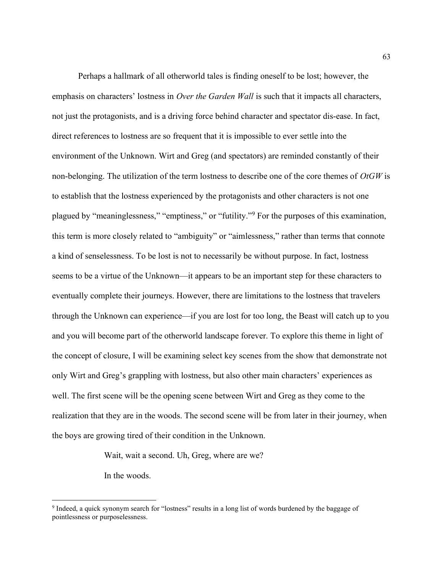Perhaps a hallmark of all otherworld tales is finding oneself to be lost; however, the emphasis on characters' lostness in *Over the Garden Wall* is such that it impacts all characters, not just the protagonists, and is a driving force behind character and spectator dis-ease. In fact, direct references to lostness are so frequent that it is impossible to ever settle into the environment of the Unknown. Wirt and Greg (and spectators) are reminded constantly of their non-belonging. The utilization of the term lostness to describe one of the core themes of  $OtGW$  is to establish that the lostness experienced by the protagonists and other characters is not one plagued by "meaninglessness," "emptiness," or "futility."<sup>9</sup> For the purposes of this examination, this term is more closely related to "ambiguity" or "aimlessness," rather than terms that connote a kind of senselessness. To be lost is not to necessarily be without purpose. In fact, lostness seems to be a virtue of the Unknown—it appears to be an important step for these characters to eventually complete their journeys. However, there are limitations to the lostness that travelers through the Unknown can experience—if you are lost for too long, the Beast will catch up to you and you will become part of the otherworld landscape forever. To explore this theme in light of the concept of closure, I will be examining select key scenes from the show that demonstrate not only Wirt and Greg's grappling with lostness, but also other main characters' experiences as well. The first scene will be the opening scene between Wirt and Greg as they come to the realization that they are in the woods. The second scene will be from later in their journey, when the boys are growing tired of their condition in the Unknown.

Wait, wait a second. Uh, Greg, where are we?

In the woods.

<sup>&</sup>lt;sup>9</sup> Indeed, a quick synonym search for "lostness" results in a long list of words burdened by the baggage of pointlessness or purposelessness.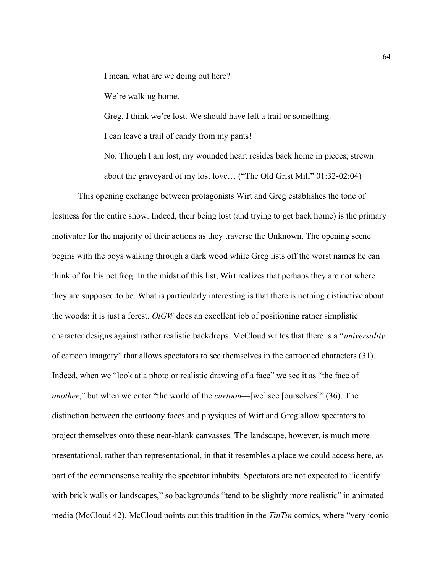I mean, what are we doing out here?

We're walking home.

Greg, I think we're lost. We should have left a trail or something.

I can leave a trail of candy from my pants!

No. Though I am lost, my wounded heart resides back home in pieces, strewn about the graveyard of my lost love… ("The Old Grist Mill" 01:32-02:04)

This opening exchange between protagonists Wirt and Greg establishes the tone of lostness for the entire show. Indeed, their being lost (and trying to get back home) is the primary motivator for the majority of their actions as they traverse the Unknown. The opening scene begins with the boys walking through a dark wood while Greg lists off the worst names he can think of for his pet frog. In the midst of this list, Wirt realizes that perhaps they are not where they are supposed to be. What is particularly interesting is that there is nothing distinctive about the woods: it is just a forest.  $OtGW$  does an excellent job of positioning rather simplistic character designs against rather realistic backdrops. McCloud writes that there is a "universality of cartoon imagery" that allows spectators to see themselves in the cartooned characters (31). Indeed, when we "look at a photo or realistic drawing of a face" we see it as "the face of another," but when we enter "the world of the *cartoon*—[we] see [ourselves]" (36). The distinction between the cartoony faces and physiques of Wirt and Greg allow spectators to project themselves onto these near-blank canvasses. The landscape, however, is much more presentational, rather than representational, in that it resembles a place we could access here, as part of the commonsense reality the spectator inhabits. Spectators are not expected to "identify with brick walls or landscapes," so backgrounds "tend to be slightly more realistic" in animated media (McCloud 42). McCloud points out this tradition in the TinTin comics, where "very iconic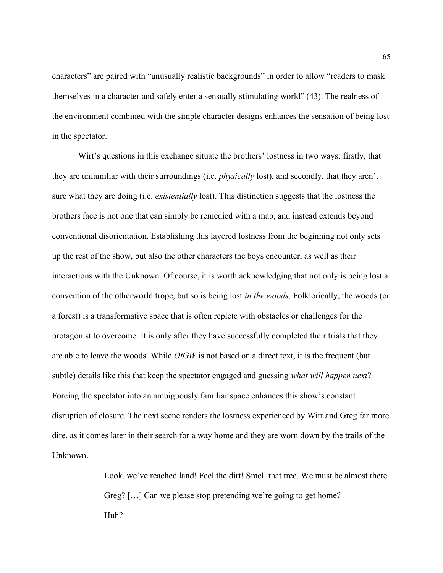characters" are paired with "unusually realistic backgrounds" in order to allow "readers to mask themselves in a character and safely enter a sensually stimulating world" (43). The realness of the environment combined with the simple character designs enhances the sensation of being lost in the spectator.

Wirt's questions in this exchange situate the brothers' lostness in two ways: firstly, that they are unfamiliar with their surroundings (i.e. physically lost), and secondly, that they aren't sure what they are doing (i.e. *existentially* lost). This distinction suggests that the lostness the brothers face is not one that can simply be remedied with a map, and instead extends beyond conventional disorientation. Establishing this layered lostness from the beginning not only sets up the rest of the show, but also the other characters the boys encounter, as well as their interactions with the Unknown. Of course, it is worth acknowledging that not only is being lost a convention of the otherworld trope, but so is being lost in the woods. Folklorically, the woods (or a forest) is a transformative space that is often replete with obstacles or challenges for the protagonist to overcome. It is only after they have successfully completed their trials that they are able to leave the woods. While  $OtGW$  is not based on a direct text, it is the frequent (but subtle) details like this that keep the spectator engaged and guessing *what will happen next*? Forcing the spectator into an ambiguously familiar space enhances this show's constant disruption of closure. The next scene renders the lostness experienced by Wirt and Greg far more dire, as it comes later in their search for a way home and they are worn down by the trails of the Unknown.

> Look, we've reached land! Feel the dirt! Smell that tree. We must be almost there. Greg? [...] Can we please stop pretending we're going to get home? Huh?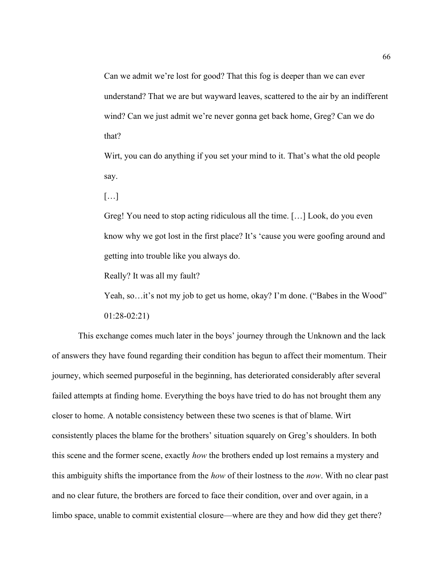Can we admit we're lost for good? That this fog is deeper than we can ever understand? That we are but wayward leaves, scattered to the air by an indifferent wind? Can we just admit we're never gonna get back home, Greg? Can we do that?

Wirt, you can do anything if you set your mind to it. That's what the old people say.

[…]

Greg! You need to stop acting ridiculous all the time. […] Look, do you even know why we got lost in the first place? It's 'cause you were goofing around and getting into trouble like you always do.

Really? It was all my fault?

Yeah, so...it's not my job to get us home, okay? I'm done. ("Babes in the Wood"

01:28-02:21)

 This exchange comes much later in the boys' journey through the Unknown and the lack of answers they have found regarding their condition has begun to affect their momentum. Their journey, which seemed purposeful in the beginning, has deteriorated considerably after several failed attempts at finding home. Everything the boys have tried to do has not brought them any closer to home. A notable consistency between these two scenes is that of blame. Wirt consistently places the blame for the brothers' situation squarely on Greg's shoulders. In both this scene and the former scene, exactly *how* the brothers ended up lost remains a mystery and this ambiguity shifts the importance from the *how* of their lostness to the *now*. With no clear past and no clear future, the brothers are forced to face their condition, over and over again, in a limbo space, unable to commit existential closure—where are they and how did they get there?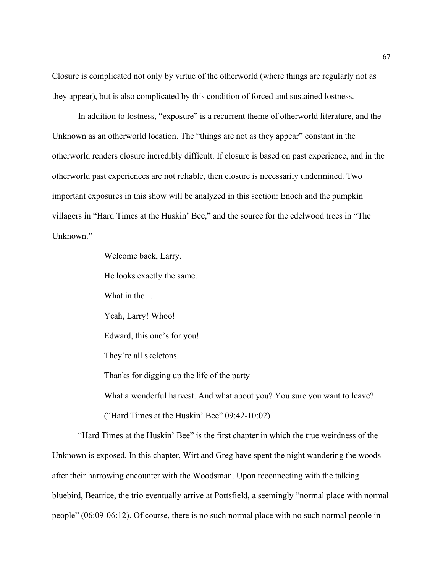Closure is complicated not only by virtue of the otherworld (where things are regularly not as they appear), but is also complicated by this condition of forced and sustained lostness.

In addition to lostness, "exposure" is a recurrent theme of otherworld literature, and the Unknown as an otherworld location. The "things are not as they appear" constant in the otherworld renders closure incredibly difficult. If closure is based on past experience, and in the otherworld past experiences are not reliable, then closure is necessarily undermined. Two important exposures in this show will be analyzed in this section: Enoch and the pumpkin villagers in "Hard Times at the Huskin' Bee," and the source for the edelwood trees in "The Unknown."

Welcome back, Larry.

He looks exactly the same.

What in the…

Yeah, Larry! Whoo!

Edward, this one's for you!

They're all skeletons.

Thanks for digging up the life of the party

What a wonderful harvest. And what about you? You sure you want to leave?

("Hard Times at the Huskin' Bee" 09:42-10:02)

 "Hard Times at the Huskin' Bee" is the first chapter in which the true weirdness of the Unknown is exposed. In this chapter, Wirt and Greg have spent the night wandering the woods after their harrowing encounter with the Woodsman. Upon reconnecting with the talking bluebird, Beatrice, the trio eventually arrive at Pottsfield, a seemingly "normal place with normal people" (06:09-06:12). Of course, there is no such normal place with no such normal people in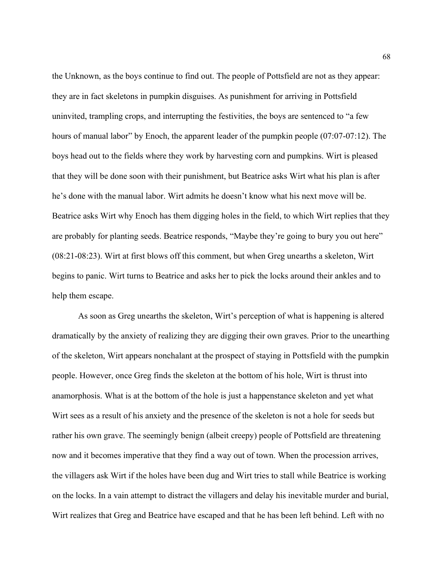the Unknown, as the boys continue to find out. The people of Pottsfield are not as they appear: they are in fact skeletons in pumpkin disguises. As punishment for arriving in Pottsfield uninvited, trampling crops, and interrupting the festivities, the boys are sentenced to "a few hours of manual labor" by Enoch, the apparent leader of the pumpkin people (07:07-07:12). The boys head out to the fields where they work by harvesting corn and pumpkins. Wirt is pleased that they will be done soon with their punishment, but Beatrice asks Wirt what his plan is after he's done with the manual labor. Wirt admits he doesn't know what his next move will be. Beatrice asks Wirt why Enoch has them digging holes in the field, to which Wirt replies that they are probably for planting seeds. Beatrice responds, "Maybe they're going to bury you out here" (08:21-08:23). Wirt at first blows off this comment, but when Greg unearths a skeleton, Wirt begins to panic. Wirt turns to Beatrice and asks her to pick the locks around their ankles and to help them escape.

As soon as Greg unearths the skeleton, Wirt's perception of what is happening is altered dramatically by the anxiety of realizing they are digging their own graves. Prior to the unearthing of the skeleton, Wirt appears nonchalant at the prospect of staying in Pottsfield with the pumpkin people. However, once Greg finds the skeleton at the bottom of his hole, Wirt is thrust into anamorphosis. What is at the bottom of the hole is just a happenstance skeleton and yet what Wirt sees as a result of his anxiety and the presence of the skeleton is not a hole for seeds but rather his own grave. The seemingly benign (albeit creepy) people of Pottsfield are threatening now and it becomes imperative that they find a way out of town. When the procession arrives, the villagers ask Wirt if the holes have been dug and Wirt tries to stall while Beatrice is working on the locks. In a vain attempt to distract the villagers and delay his inevitable murder and burial, Wirt realizes that Greg and Beatrice have escaped and that he has been left behind. Left with no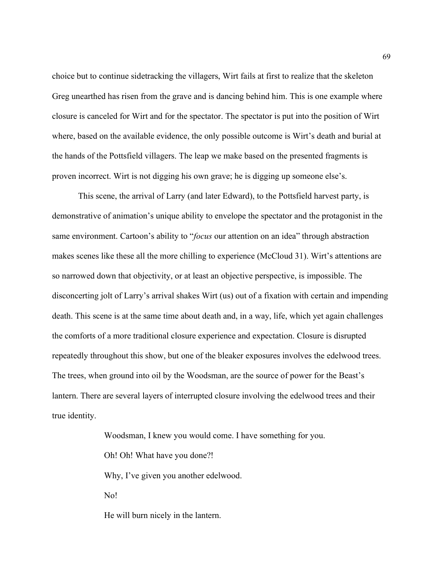choice but to continue sidetracking the villagers, Wirt fails at first to realize that the skeleton Greg unearthed has risen from the grave and is dancing behind him. This is one example where closure is canceled for Wirt and for the spectator. The spectator is put into the position of Wirt where, based on the available evidence, the only possible outcome is Wirt's death and burial at the hands of the Pottsfield villagers. The leap we make based on the presented fragments is proven incorrect. Wirt is not digging his own grave; he is digging up someone else's.

 This scene, the arrival of Larry (and later Edward), to the Pottsfield harvest party, is demonstrative of animation's unique ability to envelope the spectator and the protagonist in the same environment. Cartoon's ability to "*focus* our attention on an idea" through abstraction makes scenes like these all the more chilling to experience (McCloud 31). Wirt's attentions are so narrowed down that objectivity, or at least an objective perspective, is impossible. The disconcerting jolt of Larry's arrival shakes Wirt (us) out of a fixation with certain and impending death. This scene is at the same time about death and, in a way, life, which yet again challenges the comforts of a more traditional closure experience and expectation. Closure is disrupted repeatedly throughout this show, but one of the bleaker exposures involves the edelwood trees. The trees, when ground into oil by the Woodsman, are the source of power for the Beast's lantern. There are several layers of interrupted closure involving the edelwood trees and their true identity.

> Woodsman, I knew you would come. I have something for you. Oh! Oh! What have you done?! Why, I've given you another edelwood. No! He will burn nicely in the lantern.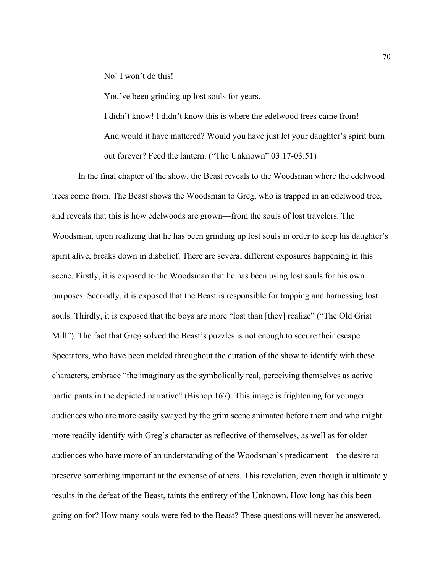No! I won't do this!

You've been grinding up lost souls for years.

I didn't know! I didn't know this is where the edelwood trees came from! And would it have mattered? Would you have just let your daughter's spirit burn out forever? Feed the lantern. ("The Unknown" 03:17-03:51)

 In the final chapter of the show, the Beast reveals to the Woodsman where the edelwood trees come from. The Beast shows the Woodsman to Greg, who is trapped in an edelwood tree, and reveals that this is how edelwoods are grown—from the souls of lost travelers. The Woodsman, upon realizing that he has been grinding up lost souls in order to keep his daughter's spirit alive, breaks down in disbelief. There are several different exposures happening in this scene. Firstly, it is exposed to the Woodsman that he has been using lost souls for his own purposes. Secondly, it is exposed that the Beast is responsible for trapping and harnessing lost souls. Thirdly, it is exposed that the boys are more "lost than [they] realize" ("The Old Grist Mill"). The fact that Greg solved the Beast's puzzles is not enough to secure their escape. Spectators, who have been molded throughout the duration of the show to identify with these characters, embrace "the imaginary as the symbolically real, perceiving themselves as active participants in the depicted narrative" (Bishop 167). This image is frightening for younger audiences who are more easily swayed by the grim scene animated before them and who might more readily identify with Greg's character as reflective of themselves, as well as for older audiences who have more of an understanding of the Woodsman's predicament—the desire to preserve something important at the expense of others. This revelation, even though it ultimately results in the defeat of the Beast, taints the entirety of the Unknown. How long has this been going on for? How many souls were fed to the Beast? These questions will never be answered,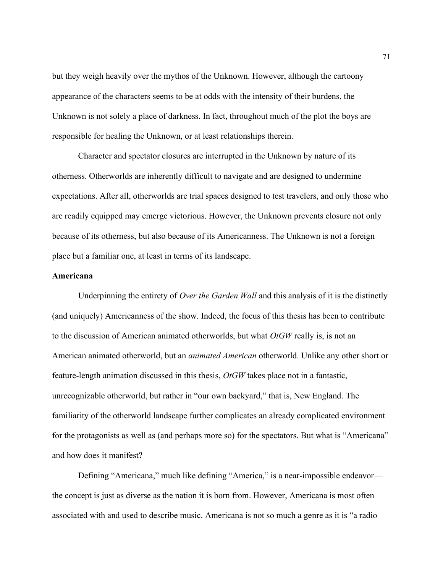but they weigh heavily over the mythos of the Unknown. However, although the cartoony appearance of the characters seems to be at odds with the intensity of their burdens, the Unknown is not solely a place of darkness. In fact, throughout much of the plot the boys are responsible for healing the Unknown, or at least relationships therein.

 Character and spectator closures are interrupted in the Unknown by nature of its otherness. Otherworlds are inherently difficult to navigate and are designed to undermine expectations. After all, otherworlds are trial spaces designed to test travelers, and only those who are readily equipped may emerge victorious. However, the Unknown prevents closure not only because of its otherness, but also because of its Americanness. The Unknown is not a foreign place but a familiar one, at least in terms of its landscape.

# Americana

Underpinning the entirety of *Over the Garden Wall* and this analysis of it is the distinctly (and uniquely) Americanness of the show. Indeed, the focus of this thesis has been to contribute to the discussion of American animated otherworlds, but what  $OtGW$  really is, is not an American animated otherworld, but an animated American otherworld. Unlike any other short or feature-length animation discussed in this thesis,  $OtGW$  takes place not in a fantastic, unrecognizable otherworld, but rather in "our own backyard," that is, New England. The familiarity of the otherworld landscape further complicates an already complicated environment for the protagonists as well as (and perhaps more so) for the spectators. But what is "Americana" and how does it manifest?

Defining "Americana," much like defining "America," is a near-impossible endeavor the concept is just as diverse as the nation it is born from. However, Americana is most often associated with and used to describe music. Americana is not so much a genre as it is "a radio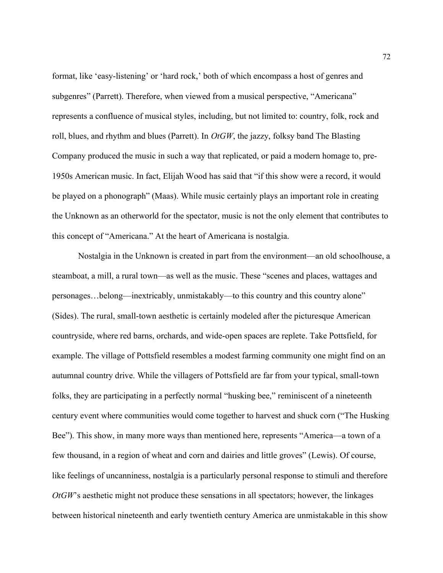format, like 'easy-listening' or 'hard rock,' both of which encompass a host of genres and subgenres" (Parrett). Therefore, when viewed from a musical perspective, "Americana" represents a confluence of musical styles, including, but not limited to: country, folk, rock and roll, blues, and rhythm and blues (Parrett). In  $OtGW$ , the jazzy, folksy band The Blasting Company produced the music in such a way that replicated, or paid a modern homage to, pre-1950s American music. In fact, Elijah Wood has said that "if this show were a record, it would be played on a phonograph" (Maas). While music certainly plays an important role in creating the Unknown as an otherworld for the spectator, music is not the only element that contributes to this concept of "Americana." At the heart of Americana is nostalgia.

Nostalgia in the Unknown is created in part from the environment—an old schoolhouse, a steamboat, a mill, a rural town—as well as the music. These "scenes and places, wattages and personages…belong—inextricably, unmistakably—to this country and this country alone" (Sides). The rural, small-town aesthetic is certainly modeled after the picturesque American countryside, where red barns, orchards, and wide-open spaces are replete. Take Pottsfield, for example. The village of Pottsfield resembles a modest farming community one might find on an autumnal country drive. While the villagers of Pottsfield are far from your typical, small-town folks, they are participating in a perfectly normal "husking bee," reminiscent of a nineteenth century event where communities would come together to harvest and shuck corn ("The Husking Bee"). This show, in many more ways than mentioned here, represents "America—a town of a few thousand, in a region of wheat and corn and dairies and little groves" (Lewis). Of course, like feelings of uncanniness, nostalgia is a particularly personal response to stimuli and therefore  $OtGW$ 's aesthetic might not produce these sensations in all spectators; however, the linkages between historical nineteenth and early twentieth century America are unmistakable in this show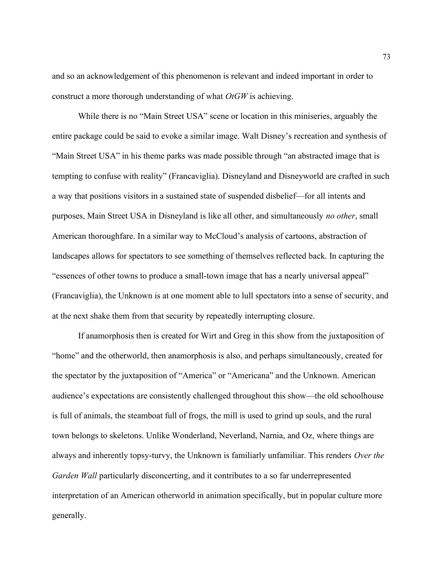and so an acknowledgement of this phenomenon is relevant and indeed important in order to construct a more thorough understanding of what  $OtGW$  is achieving.

While there is no "Main Street USA" scene or location in this miniseries, arguably the entire package could be said to evoke a similar image. Walt Disney's recreation and synthesis of "Main Street USA" in his theme parks was made possible through "an abstracted image that is tempting to confuse with reality" (Francaviglia). Disneyland and Disneyworld are crafted in such a way that positions visitors in a sustained state of suspended disbelief—for all intents and purposes, Main Street USA in Disneyland is like all other, and simultaneously no other, small American thoroughfare. In a similar way to McCloud's analysis of cartoons, abstraction of landscapes allows for spectators to see something of themselves reflected back. In capturing the "essences of other towns to produce a small-town image that has a nearly universal appeal" (Francaviglia), the Unknown is at one moment able to lull spectators into a sense of security, and at the next shake them from that security by repeatedly interrupting closure.

If anamorphosis then is created for Wirt and Greg in this show from the juxtaposition of "home" and the otherworld, then anamorphosis is also, and perhaps simultaneously, created for the spectator by the juxtaposition of "America" or "Americana" and the Unknown. American audience's expectations are consistently challenged throughout this show—the old schoolhouse is full of animals, the steamboat full of frogs, the mill is used to grind up souls, and the rural town belongs to skeletons. Unlike Wonderland, Neverland, Narnia, and Oz, where things are always and inherently topsy-turvy, the Unknown is familiarly unfamiliar. This renders Over the Garden Wall particularly disconcerting, and it contributes to a so far underrepresented interpretation of an American otherworld in animation specifically, but in popular culture more generally.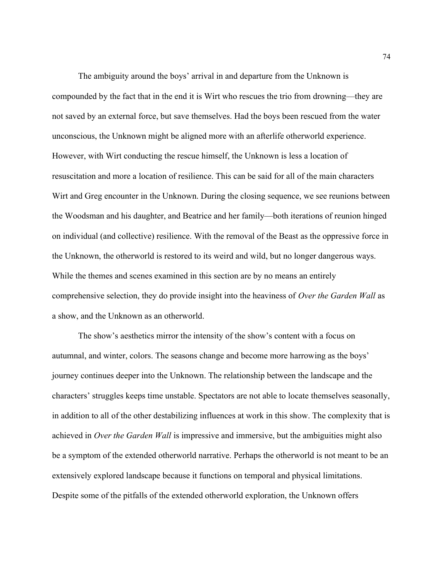The ambiguity around the boys' arrival in and departure from the Unknown is compounded by the fact that in the end it is Wirt who rescues the trio from drowning—they are not saved by an external force, but save themselves. Had the boys been rescued from the water unconscious, the Unknown might be aligned more with an afterlife otherworld experience. However, with Wirt conducting the rescue himself, the Unknown is less a location of resuscitation and more a location of resilience. This can be said for all of the main characters Wirt and Greg encounter in the Unknown. During the closing sequence, we see reunions between the Woodsman and his daughter, and Beatrice and her family—both iterations of reunion hinged on individual (and collective) resilience. With the removal of the Beast as the oppressive force in the Unknown, the otherworld is restored to its weird and wild, but no longer dangerous ways. While the themes and scenes examined in this section are by no means an entirely comprehensive selection, they do provide insight into the heaviness of Over the Garden Wall as a show, and the Unknown as an otherworld.

The show's aesthetics mirror the intensity of the show's content with a focus on autumnal, and winter, colors. The seasons change and become more harrowing as the boys' journey continues deeper into the Unknown. The relationship between the landscape and the characters' struggles keeps time unstable. Spectators are not able to locate themselves seasonally, in addition to all of the other destabilizing influences at work in this show. The complexity that is achieved in Over the Garden Wall is impressive and immersive, but the ambiguities might also be a symptom of the extended otherworld narrative. Perhaps the otherworld is not meant to be an extensively explored landscape because it functions on temporal and physical limitations. Despite some of the pitfalls of the extended otherworld exploration, the Unknown offers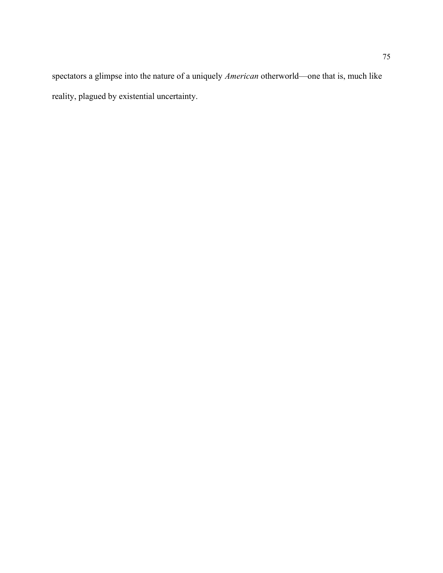spectators a glimpse into the nature of a uniquely American otherworld—one that is, much like reality, plagued by existential uncertainty.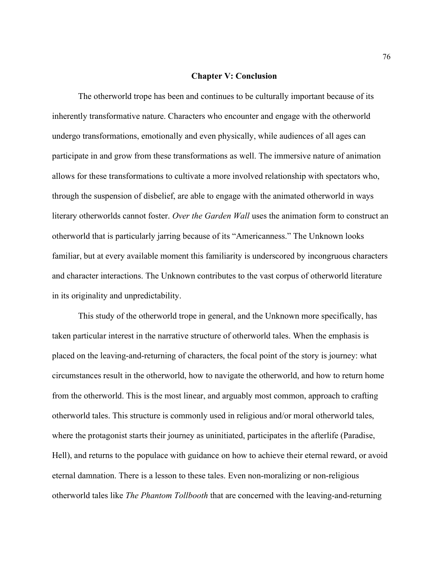## Chapter V: Conclusion

The otherworld trope has been and continues to be culturally important because of its inherently transformative nature. Characters who encounter and engage with the otherworld undergo transformations, emotionally and even physically, while audiences of all ages can participate in and grow from these transformations as well. The immersive nature of animation allows for these transformations to cultivate a more involved relationship with spectators who, through the suspension of disbelief, are able to engage with the animated otherworld in ways literary otherworlds cannot foster. Over the Garden Wall uses the animation form to construct an otherworld that is particularly jarring because of its "Americanness." The Unknown looks familiar, but at every available moment this familiarity is underscored by incongruous characters and character interactions. The Unknown contributes to the vast corpus of otherworld literature in its originality and unpredictability.

 This study of the otherworld trope in general, and the Unknown more specifically, has taken particular interest in the narrative structure of otherworld tales. When the emphasis is placed on the leaving-and-returning of characters, the focal point of the story is journey: what circumstances result in the otherworld, how to navigate the otherworld, and how to return home from the otherworld. This is the most linear, and arguably most common, approach to crafting otherworld tales. This structure is commonly used in religious and/or moral otherworld tales, where the protagonist starts their journey as uninitiated, participates in the afterlife (Paradise, Hell), and returns to the populace with guidance on how to achieve their eternal reward, or avoid eternal damnation. There is a lesson to these tales. Even non-moralizing or non-religious otherworld tales like The Phantom Tollbooth that are concerned with the leaving-and-returning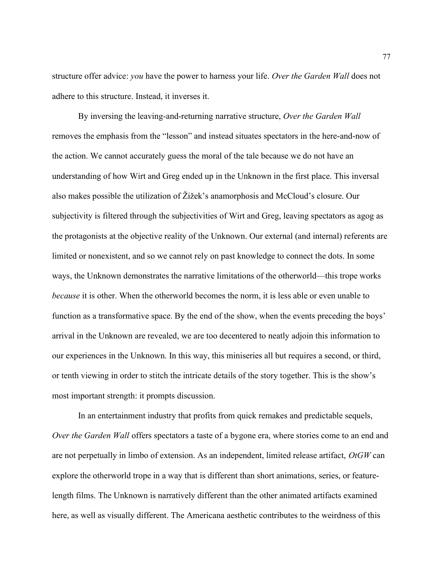structure offer advice: you have the power to harness your life. Over the Garden Wall does not adhere to this structure. Instead, it inverses it.

By inversing the leaving-and-returning narrative structure, Over the Garden Wall removes the emphasis from the "lesson" and instead situates spectators in the here-and-now of the action. We cannot accurately guess the moral of the tale because we do not have an understanding of how Wirt and Greg ended up in the Unknown in the first place. This inversal also makes possible the utilization of Žižek's anamorphosis and McCloud's closure. Our subjectivity is filtered through the subjectivities of Wirt and Greg, leaving spectators as agog as the protagonists at the objective reality of the Unknown. Our external (and internal) referents are limited or nonexistent, and so we cannot rely on past knowledge to connect the dots. In some ways, the Unknown demonstrates the narrative limitations of the otherworld—this trope works because it is other. When the otherworld becomes the norm, it is less able or even unable to function as a transformative space. By the end of the show, when the events preceding the boys' arrival in the Unknown are revealed, we are too decentered to neatly adjoin this information to our experiences in the Unknown. In this way, this miniseries all but requires a second, or third, or tenth viewing in order to stitch the intricate details of the story together. This is the show's most important strength: it prompts discussion.

 In an entertainment industry that profits from quick remakes and predictable sequels, Over the Garden Wall offers spectators a taste of a bygone era, where stories come to an end and are not perpetually in limbo of extension. As an independent, limited release artifact, OtGW can explore the otherworld trope in a way that is different than short animations, series, or featurelength films. The Unknown is narratively different than the other animated artifacts examined here, as well as visually different. The Americana aesthetic contributes to the weirdness of this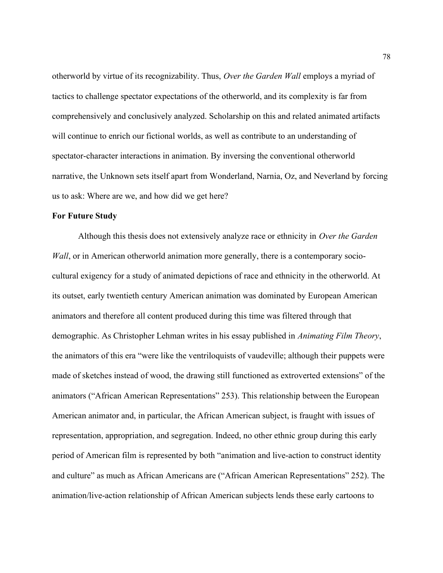otherworld by virtue of its recognizability. Thus, Over the Garden Wall employs a myriad of tactics to challenge spectator expectations of the otherworld, and its complexity is far from comprehensively and conclusively analyzed. Scholarship on this and related animated artifacts will continue to enrich our fictional worlds, as well as contribute to an understanding of spectator-character interactions in animation. By inversing the conventional otherworld narrative, the Unknown sets itself apart from Wonderland, Narnia, Oz, and Neverland by forcing us to ask: Where are we, and how did we get here?

## For Future Study

Although this thesis does not extensively analyze race or ethnicity in Over the Garden Wall, or in American otherworld animation more generally, there is a contemporary sociocultural exigency for a study of animated depictions of race and ethnicity in the otherworld. At its outset, early twentieth century American animation was dominated by European American animators and therefore all content produced during this time was filtered through that demographic. As Christopher Lehman writes in his essay published in Animating Film Theory, the animators of this era "were like the ventriloquists of vaudeville; although their puppets were made of sketches instead of wood, the drawing still functioned as extroverted extensions" of the animators ("African American Representations" 253). This relationship between the European American animator and, in particular, the African American subject, is fraught with issues of representation, appropriation, and segregation. Indeed, no other ethnic group during this early period of American film is represented by both "animation and live-action to construct identity and culture" as much as African Americans are ("African American Representations" 252). The animation/live-action relationship of African American subjects lends these early cartoons to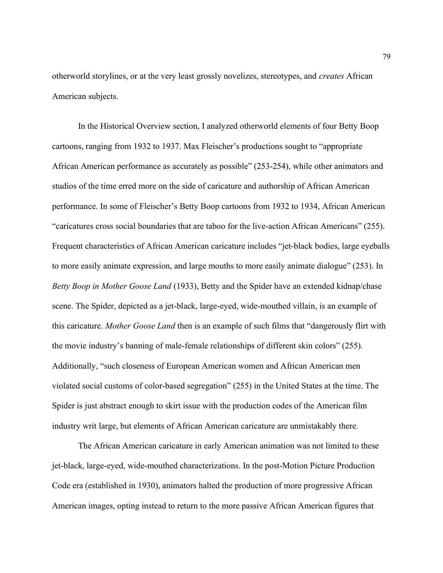otherworld storylines, or at the very least grossly novelizes, stereotypes, and creates African American subjects.

 In the Historical Overview section, I analyzed otherworld elements of four Betty Boop cartoons, ranging from 1932 to 1937. Max Fleischer's productions sought to "appropriate African American performance as accurately as possible" (253-254), while other animators and studios of the time erred more on the side of caricature and authorship of African American performance. In some of Fleischer's Betty Boop cartoons from 1932 to 1934, African American "caricatures cross social boundaries that are taboo for the live-action African Americans" (255). Frequent characteristics of African American caricature includes "jet-black bodies, large eyeballs to more easily animate expression, and large mouths to more easily animate dialogue" (253). In Betty Boop in Mother Goose Land (1933), Betty and the Spider have an extended kidnap/chase scene. The Spider, depicted as a jet-black, large-eyed, wide-mouthed villain, is an example of this caricature. Mother Goose Land then is an example of such films that "dangerously flirt with the movie industry's banning of male-female relationships of different skin colors" (255). Additionally, "such closeness of European American women and African American men violated social customs of color-based segregation" (255) in the United States at the time. The Spider is just abstract enough to skirt issue with the production codes of the American film industry writ large, but elements of African American caricature are unmistakably there.

 The African American caricature in early American animation was not limited to these jet-black, large-eyed, wide-mouthed characterizations. In the post-Motion Picture Production Code era (established in 1930), animators halted the production of more progressive African American images, opting instead to return to the more passive African American figures that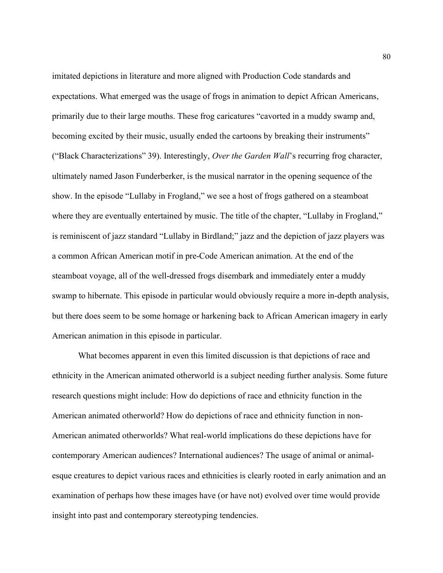imitated depictions in literature and more aligned with Production Code standards and expectations. What emerged was the usage of frogs in animation to depict African Americans, primarily due to their large mouths. These frog caricatures "cavorted in a muddy swamp and, becoming excited by their music, usually ended the cartoons by breaking their instruments" ("Black Characterizations" 39). Interestingly, Over the Garden Wall's recurring frog character, ultimately named Jason Funderberker, is the musical narrator in the opening sequence of the show. In the episode "Lullaby in Frogland," we see a host of frogs gathered on a steamboat where they are eventually entertained by music. The title of the chapter, "Lullaby in Frogland," is reminiscent of jazz standard "Lullaby in Birdland;" jazz and the depiction of jazz players was a common African American motif in pre-Code American animation. At the end of the steamboat voyage, all of the well-dressed frogs disembark and immediately enter a muddy swamp to hibernate. This episode in particular would obviously require a more in-depth analysis, but there does seem to be some homage or harkening back to African American imagery in early American animation in this episode in particular.

 What becomes apparent in even this limited discussion is that depictions of race and ethnicity in the American animated otherworld is a subject needing further analysis. Some future research questions might include: How do depictions of race and ethnicity function in the American animated otherworld? How do depictions of race and ethnicity function in non-American animated otherworlds? What real-world implications do these depictions have for contemporary American audiences? International audiences? The usage of animal or animalesque creatures to depict various races and ethnicities is clearly rooted in early animation and an examination of perhaps how these images have (or have not) evolved over time would provide insight into past and contemporary stereotyping tendencies.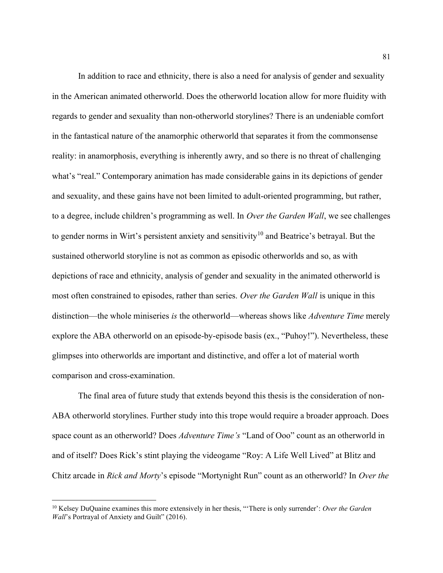In addition to race and ethnicity, there is also a need for analysis of gender and sexuality in the American animated otherworld. Does the otherworld location allow for more fluidity with regards to gender and sexuality than non-otherworld storylines? There is an undeniable comfort in the fantastical nature of the anamorphic otherworld that separates it from the commonsense reality: in anamorphosis, everything is inherently awry, and so there is no threat of challenging what's "real." Contemporary animation has made considerable gains in its depictions of gender and sexuality, and these gains have not been limited to adult-oriented programming, but rather, to a degree, include children's programming as well. In Over the Garden Wall, we see challenges to gender norms in Wirt's persistent anxiety and sensitivity<sup>10</sup> and Beatrice's betrayal. But the sustained otherworld storyline is not as common as episodic otherworlds and so, as with depictions of race and ethnicity, analysis of gender and sexuality in the animated otherworld is most often constrained to episodes, rather than series. Over the Garden Wall is unique in this distinction—the whole miniseries is the otherworld—whereas shows like Adventure Time merely explore the ABA otherworld on an episode-by-episode basis (ex., "Puhoy!"). Nevertheless, these glimpses into otherworlds are important and distinctive, and offer a lot of material worth comparison and cross-examination.

The final area of future study that extends beyond this thesis is the consideration of non-ABA otherworld storylines. Further study into this trope would require a broader approach. Does space count as an otherworld? Does *Adventure Time's* "Land of Ooo" count as an otherworld in and of itself? Does Rick's stint playing the videogame "Roy: A Life Well Lived" at Blitz and Chitz arcade in Rick and Morty's episode "Mortynight Run" count as an otherworld? In Over the

 $10$  Kelsey DuQuaine examines this more extensively in her thesis, "There is only surrender': Over the Garden Wall's Portrayal of Anxiety and Guilt" (2016).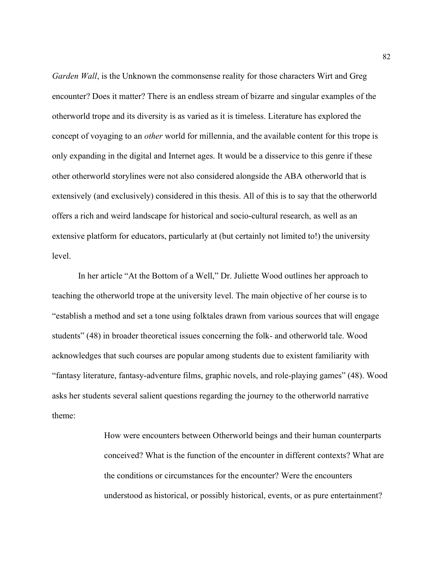Garden Wall, is the Unknown the commonsense reality for those characters Wirt and Greg encounter? Does it matter? There is an endless stream of bizarre and singular examples of the otherworld trope and its diversity is as varied as it is timeless. Literature has explored the concept of voyaging to an other world for millennia, and the available content for this trope is only expanding in the digital and Internet ages. It would be a disservice to this genre if these other otherworld storylines were not also considered alongside the ABA otherworld that is extensively (and exclusively) considered in this thesis. All of this is to say that the otherworld offers a rich and weird landscape for historical and socio-cultural research, as well as an extensive platform for educators, particularly at (but certainly not limited to!) the university level.

In her article "At the Bottom of a Well," Dr. Juliette Wood outlines her approach to teaching the otherworld trope at the university level. The main objective of her course is to "establish a method and set a tone using folktales drawn from various sources that will engage students" (48) in broader theoretical issues concerning the folk- and otherworld tale. Wood acknowledges that such courses are popular among students due to existent familiarity with "fantasy literature, fantasy-adventure films, graphic novels, and role-playing games" (48). Wood asks her students several salient questions regarding the journey to the otherworld narrative theme:

> How were encounters between Otherworld beings and their human counterparts conceived? What is the function of the encounter in different contexts? What are the conditions or circumstances for the encounter? Were the encounters understood as historical, or possibly historical, events, or as pure entertainment?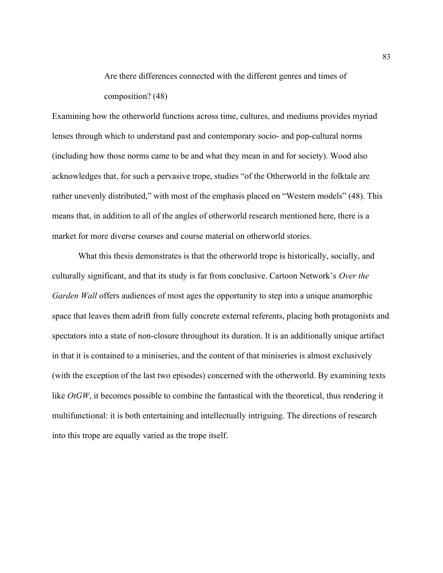Are there differences connected with the different genres and times of composition? (48)

Examining how the otherworld functions across time, cultures, and mediums provides myriad lenses through which to understand past and contemporary socio- and pop-cultural norms (including how those norms came to be and what they mean in and for society). Wood also acknowledges that, for such a pervasive trope, studies "of the Otherworld in the folktale are rather unevenly distributed," with most of the emphasis placed on "Western models" (48). This means that, in addition to all of the angles of otherworld research mentioned here, there is a market for more diverse courses and course material on otherworld stories.

What this thesis demonstrates is that the otherworld trope is historically, socially, and culturally significant, and that its study is far from conclusive. Cartoon Network's Over the Garden Wall offers audiences of most ages the opportunity to step into a unique anamorphic space that leaves them adrift from fully concrete external referents, placing both protagonists and spectators into a state of non-closure throughout its duration. It is an additionally unique artifact in that it is contained to a miniseries, and the content of that miniseries is almost exclusively (with the exception of the last two episodes) concerned with the otherworld. By examining texts like  $OtGW$ , it becomes possible to combine the fantastical with the theoretical, thus rendering it multifunctional: it is both entertaining and intellectually intriguing. The directions of research into this trope are equally varied as the trope itself.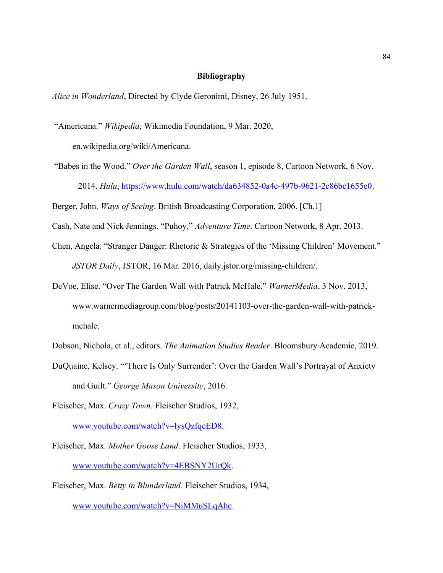## Bibliography

Alice in Wonderland, Directed by Clyde Geronimi, Disney, 26 July 1951.

"Americana." Wikipedia, Wikimedia Foundation, 9 Mar. 2020,

en.wikipedia.org/wiki/Americana.

"Babes in the Wood." Over the Garden Wall, season 1, episode 8, Cartoon Network, 6 Nov. 2014. Hulu, https://www.hulu.com/watch/da634852-0a4c-497b-9621-2c86bc1655e0.

Berger, John. Ways of Seeing. British Broadcasting Corporation, 2006. [Ch.1]

Cash, Nate and Nick Jennings. "Puhoy," Adventure Time. Cartoon Network, 8 Apr. 2013.

- Chen, Angela. "Stranger Danger: Rhetoric & Strategies of the 'Missing Children' Movement." JSTOR Daily, JSTOR, 16 Mar. 2016, daily.jstor.org/missing-children/.
- DeVoe, Elise. "Over The Garden Wall with Patrick McHale." WarnerMedia, 3 Nov. 2013, www.warnermediagroup.com/blog/posts/20141103-over-the-garden-wall-with-patrickmchale.

Dobson, Nichola, et al., editors. The Animation Studies Reader. Bloomsbury Academic, 2019.

- DuQuaine, Kelsey. "'There Is Only Surrender': Over the Garden Wall's Portrayal of Anxiety and Guilt." George Mason University, 2016.
- Fleischer, Max. Crazy Town. Fleischer Studios, 1932,

www.youtube.com/watch?v=lysQzfqeED8.

- Fleischer, Max. Mother Goose Land. Fleischer Studios, 1933, www.youtube.com/watch?v=4EBSNY2UrQk.
- Fleischer, Max. Betty in Blunderland. Fleischer Studios, 1934, www.youtube.com/watch?v=NiMMuSLqAhc.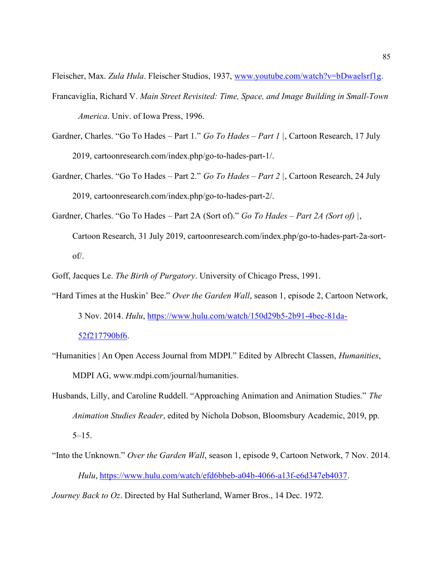Fleischer, Max. Zula Hula. Fleischer Studios, 1937, www.youtube.com/watch?v=bDwaelsrf1g.

- Francaviglia, Richard V. Main Street Revisited: Time, Space, and Image Building in Small-Town America. Univ. of Iowa Press, 1996.
- Gardner, Charles. "Go To Hades Part 1." Go To Hades Part 1, Cartoon Research, 17 July 2019, cartoonresearch.com/index.php/go-to-hades-part-1/.
- Gardner, Charles. "Go To Hades Part 2." Go To Hades Part 2 |, Cartoon Research, 24 July 2019, cartoonresearch.com/index.php/go-to-hades-part-2/.
- Gardner, Charles. "Go To Hades Part 2A (Sort of)." Go To Hades Part 2A (Sort of) |, Cartoon Research, 31 July 2019, cartoonresearch.com/index.php/go-to-hades-part-2a-sortof/.

Goff, Jacques Le. The Birth of Purgatory. University of Chicago Press, 1991.

- "Hard Times at the Huskin' Bee." Over the Garden Wall, season 1, episode 2, Cartoon Network, 3 Nov. 2014. Hulu, https://www.hulu.com/watch/150d29b5-2b91-4bec-81da-52f217790bf6.
- "Humanities | An Open Access Journal from MDPI." Edited by Albrecht Classen, Humanities, MDPI AG, www.mdpi.com/journal/humanities.
- Husbands, Lilly, and Caroline Ruddell. "Approaching Animation and Animation Studies." The Animation Studies Reader, edited by Nichola Dobson, Bloomsbury Academic, 2019, pp.  $5-15.$
- "Into the Unknown." Over the Garden Wall, season 1, episode 9, Cartoon Network, 7 Nov. 2014. Hulu, https://www.hulu.com/watch/efd6bbeb-a04b-4066-a13f-e6d347eb4037.

Journey Back to Oz. Directed by Hal Sutherland, Warner Bros., 14 Dec. 1972.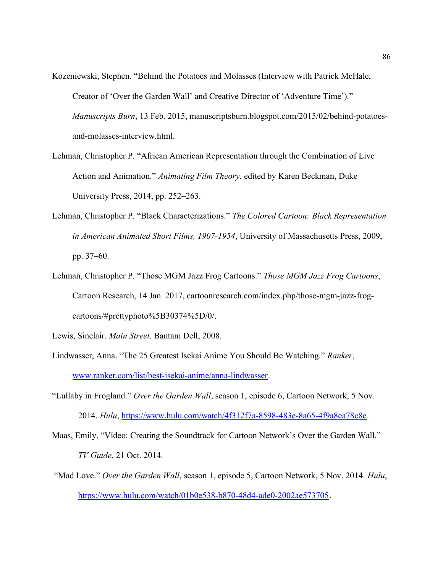- Kozeniewski, Stephen. "Behind the Potatoes and Molasses (Interview with Patrick McHale, Creator of 'Over the Garden Wall' and Creative Director of 'Adventure Time')." Manuscripts Burn, 13 Feb. 2015, manuscriptsburn.blogspot.com/2015/02/behind-potatoesand-molasses-interview.html.
- Lehman, Christopher P. "African American Representation through the Combination of Live Action and Animation." Animating Film Theory, edited by Karen Beckman, Duke University Press, 2014, pp. 252–263.
- Lehman, Christopher P. "Black Characterizations." The Colored Cartoon: Black Representation in American Animated Short Films, 1907-1954, University of Massachusetts Press, 2009, pp. 37–60.
- Lehman, Christopher P. "Those MGM Jazz Frog Cartoons." Those MGM Jazz Frog Cartoons, Cartoon Research, 14 Jan. 2017, cartoonresearch.com/index.php/those-mgm-jazz-frogcartoons/#prettyphoto%5B30374%5D/0/.

- Lindwasser, Anna. "The 25 Greatest Isekai Anime You Should Be Watching." Ranker, www.ranker.com/list/best-isekai-anime/anna-lindwasser.
- "Lullaby in Frogland." Over the Garden Wall, season 1, episode 6, Cartoon Network, 5 Nov. 2014. Hulu, https://www.hulu.com/watch/4f312f7a-8598-483e-8a65-4f9a8ea78c8e.
- Maas, Emily. "Video: Creating the Soundtrack for Cartoon Network's Over the Garden Wall." TV Guide. 21 Oct. 2014.
- "Mad Love." Over the Garden Wall, season 1, episode 5, Cartoon Network, 5 Nov. 2014. Hulu, https://www.hulu.com/watch/01b0e538-b870-48d4-ade0-2002ae573705.

Lewis, Sinclair. Main Street. Bantam Dell, 2008.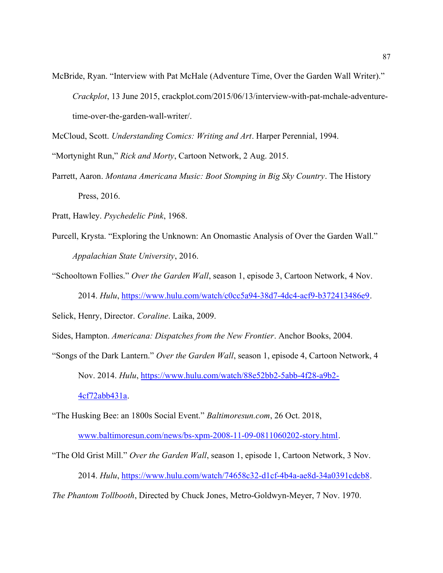McBride, Ryan. "Interview with Pat McHale (Adventure Time, Over the Garden Wall Writer)." Crackplot, 13 June 2015, crackplot.com/2015/06/13/interview-with-pat-mchale-adventuretime-over-the-garden-wall-writer/.

McCloud, Scott. Understanding Comics: Writing and Art. Harper Perennial, 1994.

"Mortynight Run," Rick and Morty, Cartoon Network, 2 Aug. 2015.

Parrett, Aaron. Montana Americana Music: Boot Stomping in Big Sky Country. The History Press, 2016.

Pratt, Hawley. Psychedelic Pink, 1968.

Purcell, Krysta. "Exploring the Unknown: An Onomastic Analysis of Over the Garden Wall." Appalachian State University, 2016.

"Schooltown Follies." Over the Garden Wall, season 1, episode 3, Cartoon Network, 4 Nov. 2014. Hulu, https://www.hulu.com/watch/c0cc5a94-38d7-4dc4-acf9-b372413486e9.

Selick, Henry, Director. Coraline. Laika, 2009.

Sides, Hampton. Americana: Dispatches from the New Frontier. Anchor Books, 2004.

"Songs of the Dark Lantern." Over the Garden Wall, season 1, episode 4, Cartoon Network, 4 Nov. 2014. Hulu, https://www.hulu.com/watch/88e52bb2-5abb-4f28-a9b2- 4cf72abb431a.

"The Husking Bee: an 1800s Social Event." Baltimoresun.com, 26 Oct. 2018, www.baltimoresun.com/news/bs-xpm-2008-11-09-0811060202-story.html.

"The Old Grist Mill." Over the Garden Wall, season 1, episode 1, Cartoon Network, 3 Nov. 2014. Hulu, https://www.hulu.com/watch/74658c32-d1cf-4b4a-ae8d-34a0391cdcb8.

The Phantom Tollbooth, Directed by Chuck Jones, Metro-Goldwyn-Meyer, 7 Nov. 1970.